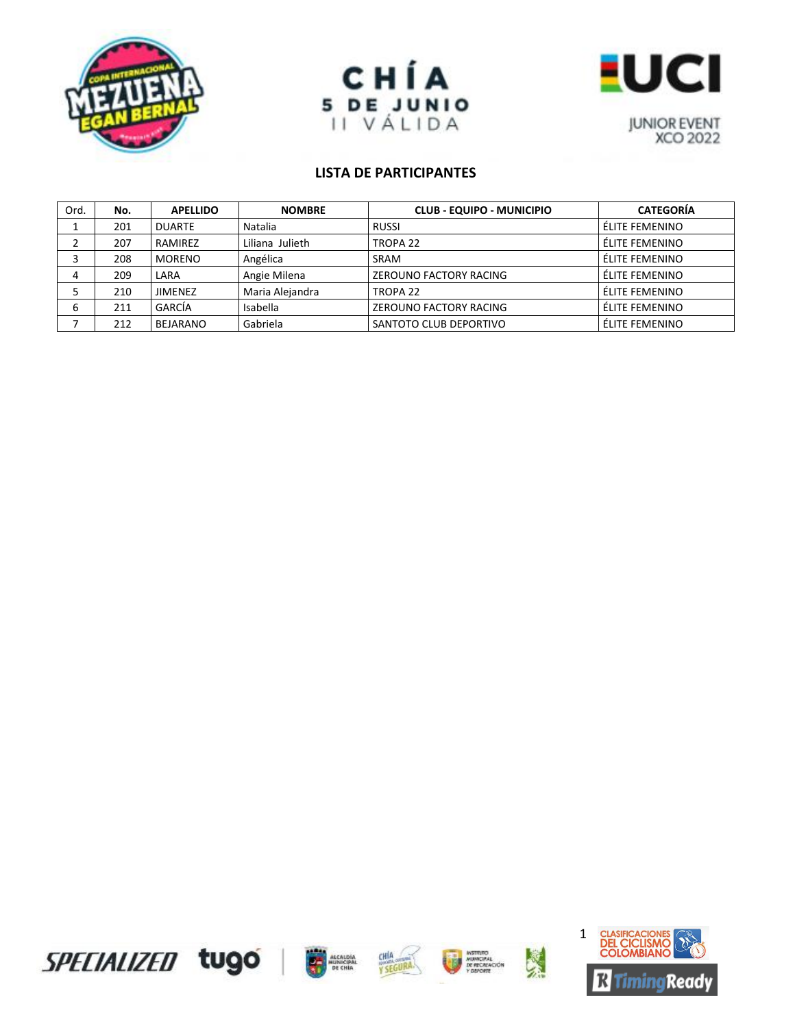





| Ord. | No. | <b>APELLIDO</b> | <b>NOMBRE</b>   | <b>CLUB - EQUIPO - MUNICIPIO</b> | <b>CATEGORÍA</b> |
|------|-----|-----------------|-----------------|----------------------------------|------------------|
|      | 201 | <b>DUARTE</b>   | Natalia         | <b>RUSSI</b>                     | ÉLITE FEMENINO   |
|      | 207 | RAMIREZ         | Liliana Julieth | TROPA <sub>22</sub>              | ÉLITE FEMENINO   |
|      | 208 | <b>MORENO</b>   | Angélica        | <b>SRAM</b>                      | ÉLITE FEMENINO   |
| 4    | 209 | LARA            | Angie Milena    | ZEROUNO FACTORY RACING           | ÉLITE FEMENINO   |
|      | 210 | <b>JIMENEZ</b>  | Maria Alejandra | TROPA <sub>22</sub>              | ÉLITE FEMENINO   |
| ь    | 211 | GARCÍA          | Isabella        | ZEROUNO FACTORY RACING           | ÉLITE FEMENINO   |
|      | 212 | <b>BEJARANO</b> | Gabriela        | SANTOTO CLUB DEPORTIVO           | ÉLITE FEMENINO   |









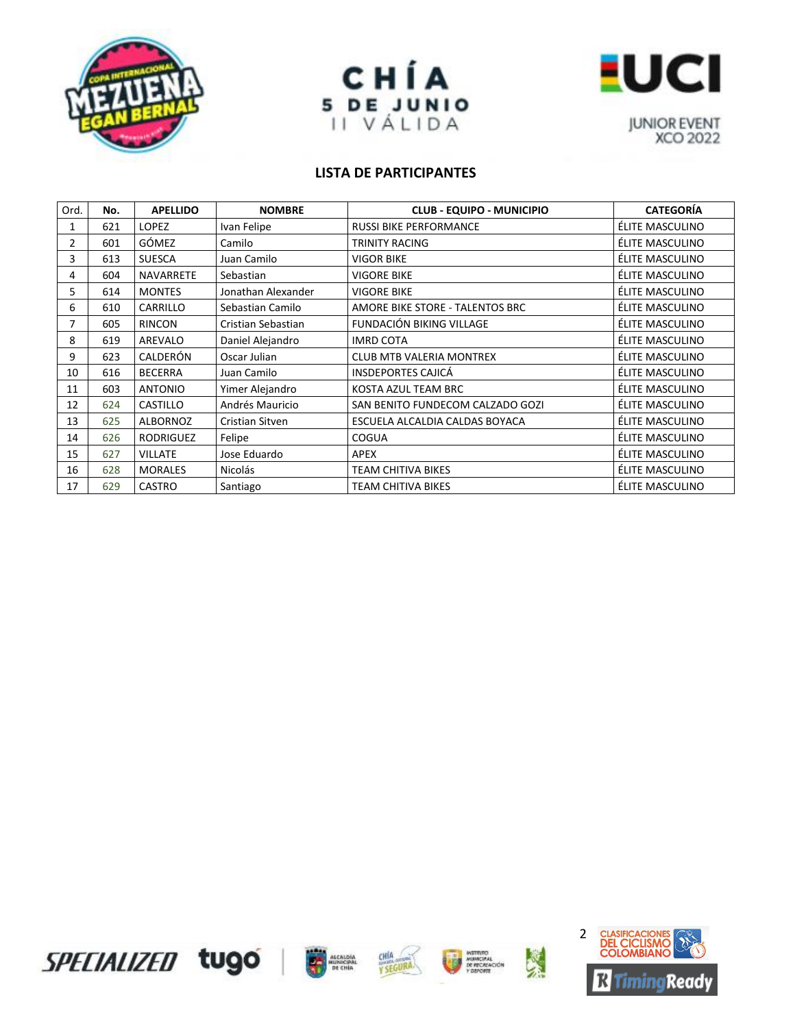





| Ord.           | No. | <b>APELLIDO</b>  | <b>NOMBRE</b>      | <b>CLUB - EQUIPO - MUNICIPIO</b> | <b>CATEGORÍA</b> |
|----------------|-----|------------------|--------------------|----------------------------------|------------------|
| 1              | 621 | <b>LOPEZ</b>     | Ivan Felipe        | <b>RUSSI BIKE PERFORMANCE</b>    | ÉLITE MASCULINO  |
| $\overline{2}$ | 601 | <b>GÓMEZ</b>     | Camilo             | <b>TRINITY RACING</b>            | ÉLITE MASCULINO  |
| 3              | 613 | <b>SUESCA</b>    | Juan Camilo        | <b>VIGOR BIKE</b>                | ÉLITE MASCULINO  |
| 4              | 604 | <b>NAVARRETE</b> | Sebastian          | <b>VIGORE BIKE</b>               | ÉLITE MASCULINO  |
| 5.             | 614 | <b>MONTES</b>    | Jonathan Alexander | <b>VIGORE BIKE</b>               | ÉLITE MASCULINO  |
| 6              | 610 | CARRILLO         | Sebastian Camilo   | AMORE BIKE STORE - TALENTOS BRC  | ÉLITE MASCULINO  |
| 7              | 605 | <b>RINCON</b>    | Cristian Sebastian | FUNDACIÓN BIKING VILLAGE         | ÉLITE MASCULINO  |
| 8              | 619 | AREVALO          | Daniel Alejandro   | <b>IMRD COTA</b>                 | ÉLITE MASCULINO  |
| 9              | 623 | CALDERÓN         | Oscar Julian       | <b>CLUB MTB VALERIA MONTREX</b>  | ÉLITE MASCULINO  |
| 10             | 616 | <b>BECERRA</b>   | Juan Camilo        | <b>INSDEPORTES CAJICÁ</b>        | ÉLITE MASCULINO  |
| 11             | 603 | <b>ANTONIO</b>   | Yimer Alejandro    | KOSTA AZUL TEAM BRC              | ÉLITE MASCULINO  |
| 12             | 624 | <b>CASTILLO</b>  | Andrés Mauricio    | SAN BENITO FUNDECOM CALZADO GOZI | ÉLITE MASCULINO  |
| 13             | 625 | ALBORNOZ         | Cristian Sitven    | ESCUELA ALCALDIA CALDAS BOYACA   | ÉLITE MASCULINO  |
| 14             | 626 | <b>RODRIGUEZ</b> | Felipe             | <b>COGUA</b>                     | ÉLITE MASCULINO  |
| 15             | 627 | <b>VILLATE</b>   | Jose Eduardo       | <b>APEX</b>                      | ÉLITE MASCULINO  |
| 16             | 628 | <b>MORALES</b>   | <b>Nicolás</b>     | <b>TEAM CHITIVA BIKES</b>        | ÉLITE MASCULINO  |
| 17             | 629 | <b>CASTRO</b>    | Santiago           | TEAM CHITIVA BIKES               | ÉLITE MASCULINO  |









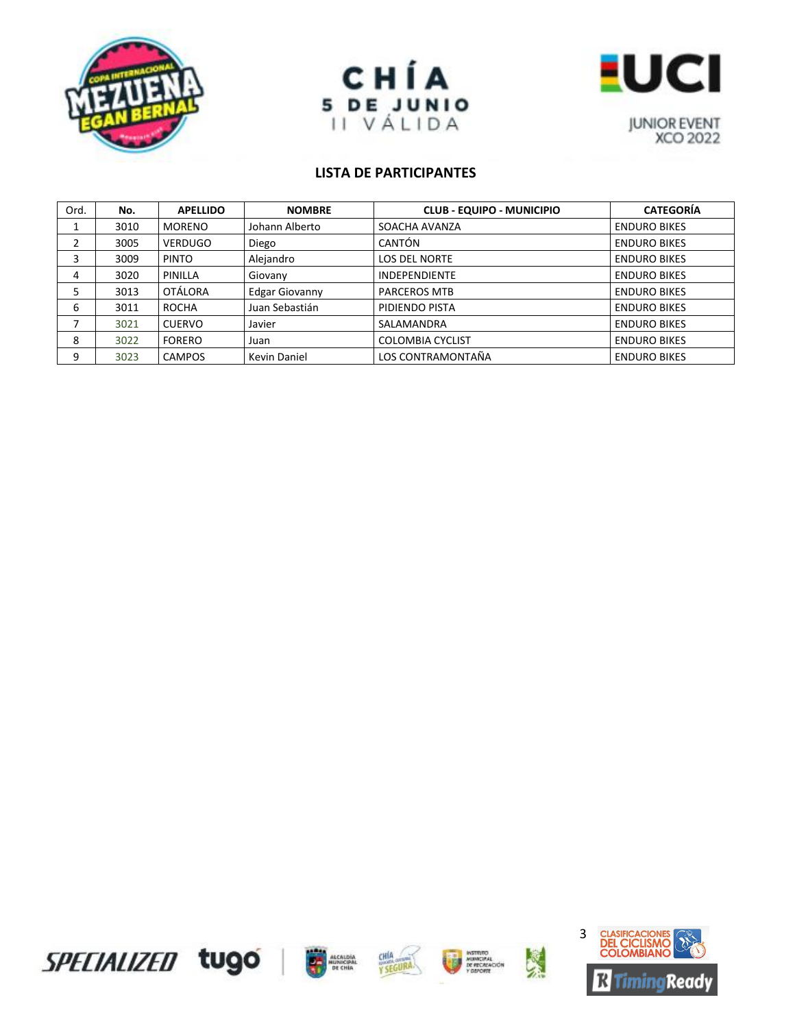





| Ord. | No.  | <b>APELLIDO</b> | <b>NOMBRE</b>         | <b>CLUB - EQUIPO - MUNICIPIO</b> | <b>CATEGORÍA</b>    |
|------|------|-----------------|-----------------------|----------------------------------|---------------------|
|      | 3010 | <b>MORENO</b>   | Johann Alberto        | SOACHA AVANZA                    | <b>ENDURO BIKES</b> |
|      | 3005 | <b>VERDUGO</b>  | Diego                 | CANTÓN                           | <b>ENDURO BIKES</b> |
|      | 3009 | <b>PINTO</b>    | Alejandro             | <b>LOS DEL NORTE</b>             | <b>ENDURO BIKES</b> |
| 4    | 3020 | PINILLA         | Giovany               | <b>INDEPENDIENTE</b>             | <b>ENDURO BIKES</b> |
|      | 3013 | <b>OTÁLORA</b>  | <b>Edgar Giovanny</b> | <b>PARCEROS MTB</b>              | <b>ENDURO BIKES</b> |
| 6    | 3011 | ROCHA           | Juan Sebastián        | PIDIENDO PISTA                   | <b>ENDURO BIKES</b> |
|      | 3021 | <b>CUERVO</b>   | Javier                | SALAMANDRA                       | <b>ENDURO BIKES</b> |
| 8    | 3022 | <b>FORERO</b>   | Juan                  | <b>COLOMBIA CYCLIST</b>          | <b>ENDURO BIKES</b> |
| 9    | 3023 | <b>CAMPOS</b>   | <b>Kevin Daniel</b>   | LOS CONTRAMONTAÑA                | <b>ENDURO BIKES</b> |









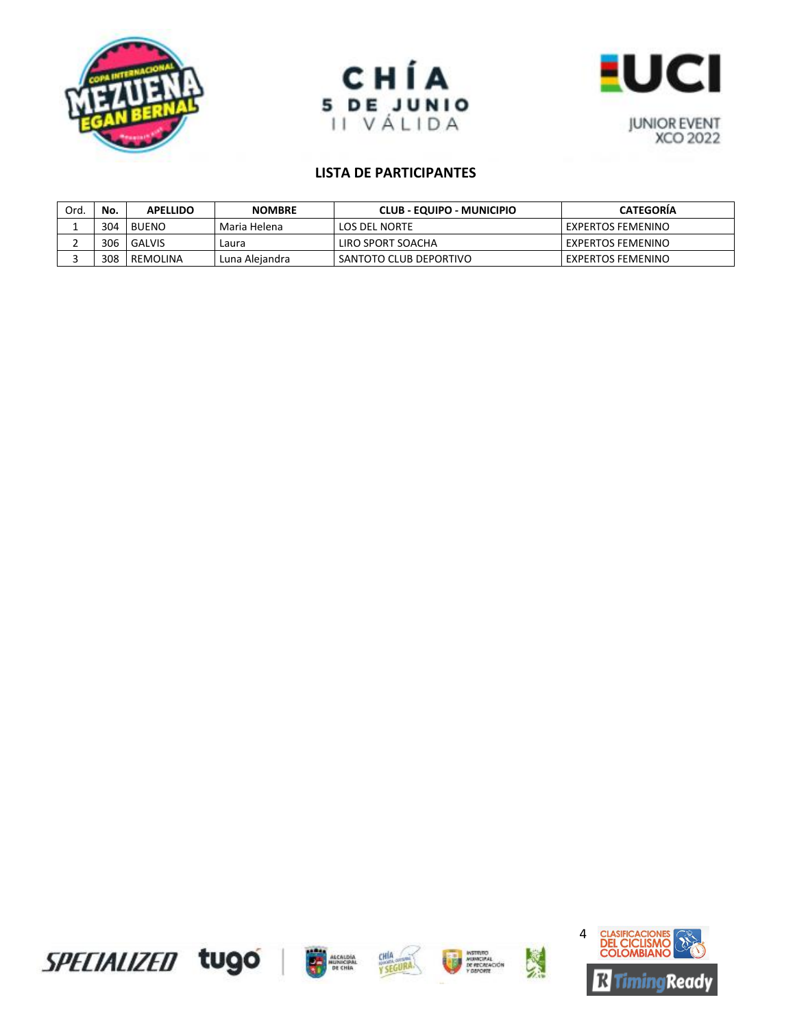





| Ord. | No. | <b>APELLIDO</b> | <b>NOMBRE</b>  | CLUB - EQUIPO - MUNICIPIO | <b>CATEGORIA</b>  |
|------|-----|-----------------|----------------|---------------------------|-------------------|
|      | 304 | <b>BUENO</b>    | Maria Helena   | LOS DEL NORTE             | EXPERTOS FEMENINO |
|      | 306 | GALVIS          | Laura          | LIRO SPORT SOACHA         | EXPERTOS FEMENINO |
|      | 308 | REMOLINA        | Luna Aleiandra | SANTOTO CLUB DEPORTIVO    | EXPERTOS FEMENINO |









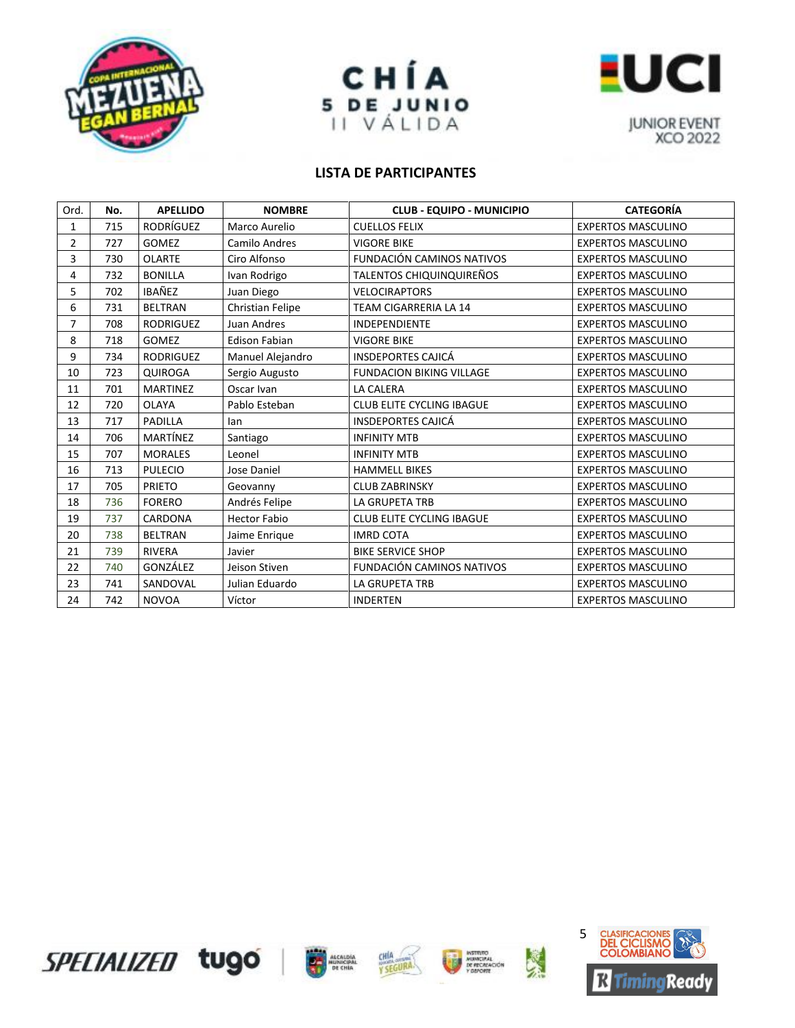





| Ord.           | No. | <b>APELLIDO</b>  | <b>NOMBRE</b>        | <b>CLUB - EQUIPO - MUNICIPIO</b> | <b>CATEGORÍA</b>          |
|----------------|-----|------------------|----------------------|----------------------------------|---------------------------|
| 1              | 715 | <b>RODRÍGUEZ</b> | Marco Aurelio        | <b>CUELLOS FELIX</b>             | <b>EXPERTOS MASCULINO</b> |
| $\overline{2}$ | 727 | <b>GOMEZ</b>     | Camilo Andres        | <b>VIGORE BIKE</b>               | <b>EXPERTOS MASCULINO</b> |
| 3              | 730 | <b>OLARTE</b>    | Ciro Alfonso         | FUNDACIÓN CAMINOS NATIVOS        | <b>EXPERTOS MASCULINO</b> |
| 4              | 732 | <b>BONILLA</b>   | Ivan Rodrigo         | TALENTOS CHIQUINQUIREÑOS         | <b>EXPERTOS MASCULINO</b> |
| 5              | 702 | IBAÑEZ           | Juan Diego           | <b>VELOCIRAPTORS</b>             | <b>EXPERTOS MASCULINO</b> |
| 6              | 731 | <b>BELTRAN</b>   | Christian Felipe     | TEAM CIGARRERIA LA 14            | <b>EXPERTOS MASCULINO</b> |
| $\overline{7}$ | 708 | <b>RODRIGUEZ</b> | Juan Andres          | <b>INDEPENDIENTE</b>             | <b>EXPERTOS MASCULINO</b> |
| 8              | 718 | <b>GOMEZ</b>     | <b>Edison Fabian</b> | <b>VIGORE BIKE</b>               | <b>EXPERTOS MASCULINO</b> |
| 9              | 734 | <b>RODRIGUEZ</b> | Manuel Alejandro     | <b>INSDEPORTES CAJICÁ</b>        | <b>EXPERTOS MASCULINO</b> |
| 10             | 723 | <b>QUIROGA</b>   | Sergio Augusto       | <b>FUNDACION BIKING VILLAGE</b>  | <b>EXPERTOS MASCULINO</b> |
| 11             | 701 | <b>MARTINEZ</b>  | Oscar Ivan           | <b>LA CALERA</b>                 | <b>EXPERTOS MASCULINO</b> |
| 12             | 720 | <b>OLAYA</b>     | Pablo Esteban        | <b>CLUB ELITE CYCLING IBAGUE</b> | <b>EXPERTOS MASCULINO</b> |
| 13             | 717 | <b>PADILLA</b>   | lan                  | <b>INSDEPORTES CAJICÁ</b>        | <b>EXPERTOS MASCULINO</b> |
| 14             | 706 | MARTÍNEZ         | Santiago             | <b>INFINITY MTB</b>              | <b>EXPERTOS MASCULINO</b> |
| 15             | 707 | <b>MORALES</b>   | Leonel               | <b>INFINITY MTB</b>              | <b>EXPERTOS MASCULINO</b> |
| 16             | 713 | <b>PULECIO</b>   | Jose Daniel          | <b>HAMMELL BIKES</b>             | <b>EXPERTOS MASCULINO</b> |
| 17             | 705 | <b>PRIETO</b>    | Geovanny             | <b>CLUB ZABRINSKY</b>            | <b>EXPERTOS MASCULINO</b> |
| 18             | 736 | <b>FORERO</b>    | Andrés Felipe        | LA GRUPETA TRB                   | <b>EXPERTOS MASCULINO</b> |
| 19             | 737 | CARDONA          | <b>Hector Fabio</b>  | <b>CLUB ELITE CYCLING IBAGUE</b> | <b>EXPERTOS MASCULINO</b> |
| 20             | 738 | <b>BELTRAN</b>   | Jaime Enrique        | <b>IMRD COTA</b>                 | <b>EXPERTOS MASCULINO</b> |
| 21             | 739 | <b>RIVERA</b>    | Javier               | <b>BIKE SERVICE SHOP</b>         | <b>EXPERTOS MASCULINO</b> |
| 22             | 740 | GONZÁLEZ         | Jeison Stiven        | FUNDACIÓN CAMINOS NATIVOS        | <b>EXPERTOS MASCULINO</b> |
| 23             | 741 | SANDOVAL         | Julian Eduardo       | <b>LA GRUPETA TRB</b>            | <b>EXPERTOS MASCULINO</b> |
| 24             | 742 | <b>NOVOA</b>     | Víctor               | <b>INDERTEN</b>                  | <b>EXPERTOS MASCULINO</b> |









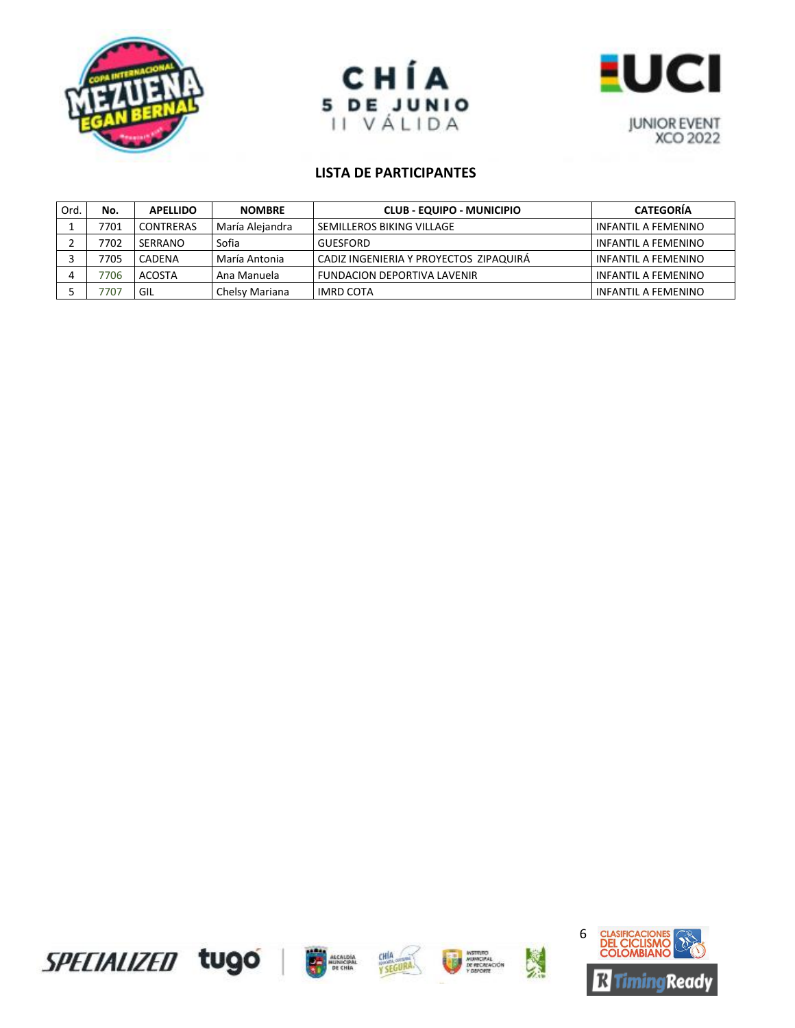





| Ord. | No.  | <b>APELLIDO</b> | <b>NOMBRE</b>   | <b>CLUB - EQUIPO - MUNICIPIO</b>       | <b>CATEGORÍA</b>           |
|------|------|-----------------|-----------------|----------------------------------------|----------------------------|
|      | 7701 | CONTRERAS       | María Alejandra | SEMILLEROS BIKING VILLAGE              | <b>INFANTIL A FEMENINO</b> |
|      | 7702 | SERRANO         | Sofia           | <b>GUESFORD</b>                        | <b>INFANTIL A FEMENINO</b> |
|      | 7705 | <b>CADENA</b>   | María Antonia   | CADIZ INGENIERIA Y PROYECTOS ZIPAQUIRÁ | <b>INFANTIL A FEMENINO</b> |
|      | 7706 | <b>ACOSTA</b>   | Ana Manuela     | <b>FUNDACION DEPORTIVA LAVENIR</b>     | INFANTIL A FEMENINO        |
|      | 707  | GIL             | Chelsy Mariana  | IMRD COTA                              | INFANTIL A FEMENINO        |









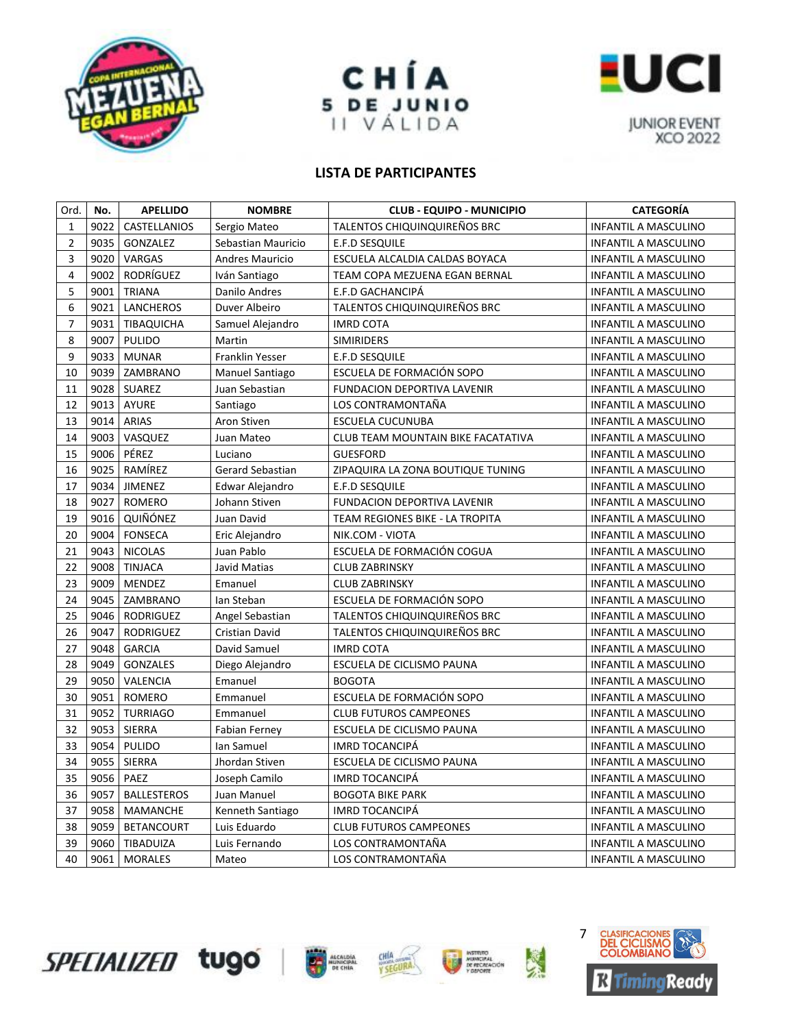





| Ord.           | No.  | <b>APELLIDO</b>    | <b>NOMBRE</b>          | <b>CLUB - EQUIPO - MUNICIPIO</b>   | <b>CATEGORÍA</b>            |
|----------------|------|--------------------|------------------------|------------------------------------|-----------------------------|
| $\mathbf{1}$   | 9022 | CASTELLANIOS       | Sergio Mateo           | TALENTOS CHIQUINQUIREÑOS BRC       | <b>INFANTIL A MASCULINO</b> |
| $\overline{2}$ | 9035 | GONZALEZ           | Sebastian Mauricio     | E.F.D SESQUILE                     | <b>INFANTIL A MASCULINO</b> |
| 3              |      | 9020 VARGAS        | <b>Andres Mauricio</b> | ESCUELA ALCALDIA CALDAS BOYACA     | INFANTIL A MASCULINO        |
| $\overline{4}$ | 9002 | RODRÍGUEZ          | Iván Santiago          | TEAM COPA MEZUENA EGAN BERNAL      | INFANTIL A MASCULINO        |
| 5              | 9001 | <b>TRIANA</b>      | Danilo Andres          | E.F.D GACHANCIPÁ                   | INFANTIL A MASCULINO        |
| 6              | 9021 | <b>LANCHEROS</b>   | Duver Albeiro          | TALENTOS CHIQUINQUIREÑOS BRC       | INFANTIL A MASCULINO        |
| $\overline{7}$ | 9031 | TIBAQUICHA         | Samuel Alejandro       | <b>IMRD COTA</b>                   | INFANTIL A MASCULINO        |
| 8              | 9007 | PULIDO             | Martin                 | <b>SIMIRIDERS</b>                  | INFANTIL A MASCULINO        |
| 9              |      | 9033 MUNAR         | Franklin Yesser        | E.F.D SESQUILE                     | <b>INFANTIL A MASCULINO</b> |
| 10             |      | 9039   ZAMBRANO    | Manuel Santiago        | ESCUELA DE FORMACIÓN SOPO          | INFANTIL A MASCULINO        |
| 11             |      | 9028 SUAREZ        | Juan Sebastian         | FUNDACION DEPORTIVA LAVENIR        | INFANTIL A MASCULINO        |
| 12             | 9013 | AYURE              | Santiago               | LOS CONTRAMONTAÑA                  | INFANTIL A MASCULINO        |
| 13             | 9014 | <b>ARIAS</b>       | Aron Stiven            | ESCUELA CUCUNUBA                   | INFANTIL A MASCULINO        |
| 14             | 9003 | VASQUEZ            | Juan Mateo             | CLUB TEAM MOUNTAIN BIKE FACATATIVA | INFANTIL A MASCULINO        |
| 15             | 9006 | PÉREZ              | Luciano                | <b>GUESFORD</b>                    | <b>INFANTIL A MASCULINO</b> |
| 16             | 9025 | RAMÍREZ            | Gerard Sebastian       | ZIPAQUIRA LA ZONA BOUTIQUE TUNING  | INFANTIL A MASCULINO        |
| 17             | 9034 | JIMENEZ            | Edwar Alejandro        | E.F.D SESQUILE                     | INFANTIL A MASCULINO        |
| 18             | 9027 | ROMERO             | Johann Stiven          | FUNDACION DEPORTIVA LAVENIR        | <b>INFANTIL A MASCULINO</b> |
| 19             | 9016 | QUIÑÓNEZ           | Juan David             | TEAM REGIONES BIKE - LA TROPITA    | INFANTIL A MASCULINO        |
| 20             | 9004 | <b>FONSECA</b>     | Eric Alejandro         | NIK.COM - VIOTA                    | INFANTIL A MASCULINO        |
| 21             | 9043 | <b>NICOLAS</b>     | Juan Pablo             | ESCUELA DE FORMACIÓN COGUA         | INFANTIL A MASCULINO        |
| 22             | 9008 | <b>TINJACA</b>     | Javid Matias           | <b>CLUB ZABRINSKY</b>              | INFANTIL A MASCULINO        |
| 23             | 9009 | MENDEZ             | Emanuel                | <b>CLUB ZABRINSKY</b>              | INFANTIL A MASCULINO        |
| 24             |      | 9045 ZAMBRANO      | Ian Steban             | ESCUELA DE FORMACIÓN SOPO          | <b>INFANTIL A MASCULINO</b> |
| 25             | 9046 | <b>RODRIGUEZ</b>   | Angel Sebastian        | TALENTOS CHIQUINQUIREÑOS BRC       | <b>INFANTIL A MASCULINO</b> |
| 26             | 9047 | <b>RODRIGUEZ</b>   | <b>Cristian David</b>  | TALENTOS CHIQUINQUIREÑOS BRC       | INFANTIL A MASCULINO        |
| 27             | 9048 | <b>GARCIA</b>      | David Samuel           | <b>IMRD COTA</b>                   | INFANTIL A MASCULINO        |
| 28             | 9049 | <b>GONZALES</b>    | Diego Alejandro        | ESCUELA DE CICLISMO PAUNA          | INFANTIL A MASCULINO        |
| 29             | 9050 | VALENCIA           | Emanuel                | <b>BOGOTA</b>                      | INFANTIL A MASCULINO        |
| 30             | 9051 | ROMERO             | Emmanuel               | ESCUELA DE FORMACIÓN SOPO          | INFANTIL A MASCULINO        |
| 31             | 9052 | <b>TURRIAGO</b>    | Emmanuel               | <b>CLUB FUTUROS CAMPEONES</b>      | INFANTIL A MASCULINO        |
| 32             |      | 9053 SIERRA        | <b>Fabian Ferney</b>   | ESCUELA DE CICLISMO PAUNA          | <b>INFANTIL A MASCULINO</b> |
| 33             | 9054 | <b>PULIDO</b>      | Ian Samuel             | <b>IMRD TOCANCIPÁ</b>              | INFANTIL A MASCULINO        |
| 34             | 9055 | SIERRA             | Jhordan Stiven         | ESCUELA DE CICLISMO PAUNA          | INFANTIL A MASCULINO        |
| 35             | 9056 | PAEZ               | Joseph Camilo          | <b>IMRD TOCANCIPA</b>              | INFANTIL A MASCULINO        |
| 36             | 9057 | <b>BALLESTEROS</b> | Juan Manuel            | <b>BOGOTA BIKE PARK</b>            | INFANTIL A MASCULINO        |
| 37             | 9058 | MAMANCHE           | Kenneth Santiago       | <b>IMRD TOCANCIPÁ</b>              | INFANTIL A MASCULINO        |
| 38             | 9059 | <b>BETANCOURT</b>  | Luis Eduardo           | <b>CLUB FUTUROS CAMPEONES</b>      | <b>INFANTIL A MASCULINO</b> |
| 39             | 9060 | TIBADUIZA          | Luis Fernando          | LOS CONTRAMONTAÑA                  | INFANTIL A MASCULINO        |
| 40             | 9061 | <b>MORALES</b>     | Mateo                  | LOS CONTRAMONTAÑA                  | INFANTIL A MASCULINO        |









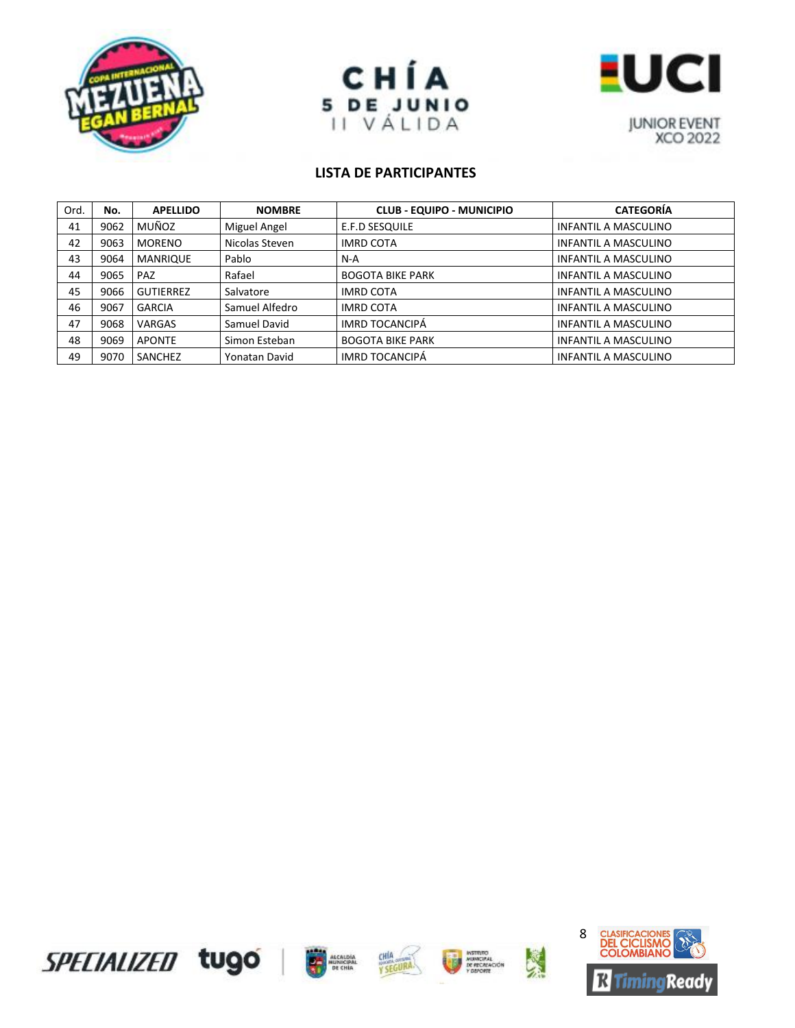





| Ord. | No.  | <b>APELLIDO</b>  | <b>NOMBRE</b>  | <b>CLUB - EQUIPO - MUNICIPIO</b> | <b>CATEGORÍA</b>            |
|------|------|------------------|----------------|----------------------------------|-----------------------------|
| 41   | 9062 | MUÑOZ            | Miguel Angel   | E.F.D SESQUILE                   | <b>INFANTIL A MASCULINO</b> |
| 42   | 9063 | <b>MORENO</b>    | Nicolas Steven | <b>IMRD COTA</b>                 | <b>INFANTIL A MASCULINO</b> |
| 43   | 9064 | <b>MANRIQUE</b>  | Pablo          | N-A                              | <b>INFANTIL A MASCULINO</b> |
| 44   | 9065 | PAZ              | Rafael         | <b>BOGOTA BIKE PARK</b>          | <b>INFANTIL A MASCULINO</b> |
| 45   | 9066 | <b>GUTIERREZ</b> | Salvatore      | <b>IMRD COTA</b>                 | <b>INFANTIL A MASCULINO</b> |
| 46   | 9067 | <b>GARCIA</b>    | Samuel Alfedro | <b>IMRD COTA</b>                 | <b>INFANTIL A MASCULINO</b> |
| 47   | 9068 | <b>VARGAS</b>    | Samuel David   | <b>IMRD TOCANCIPÁ</b>            | <b>INFANTIL A MASCULINO</b> |
| 48   | 9069 | <b>APONTE</b>    | Simon Esteban  | <b>BOGOTA BIKE PARK</b>          | <b>INFANTIL A MASCULINO</b> |
| 49   | 9070 | SANCHEZ          | Yonatan David  | IMRD TOCANCIPÁ                   | <b>INFANTIL A MASCULINO</b> |









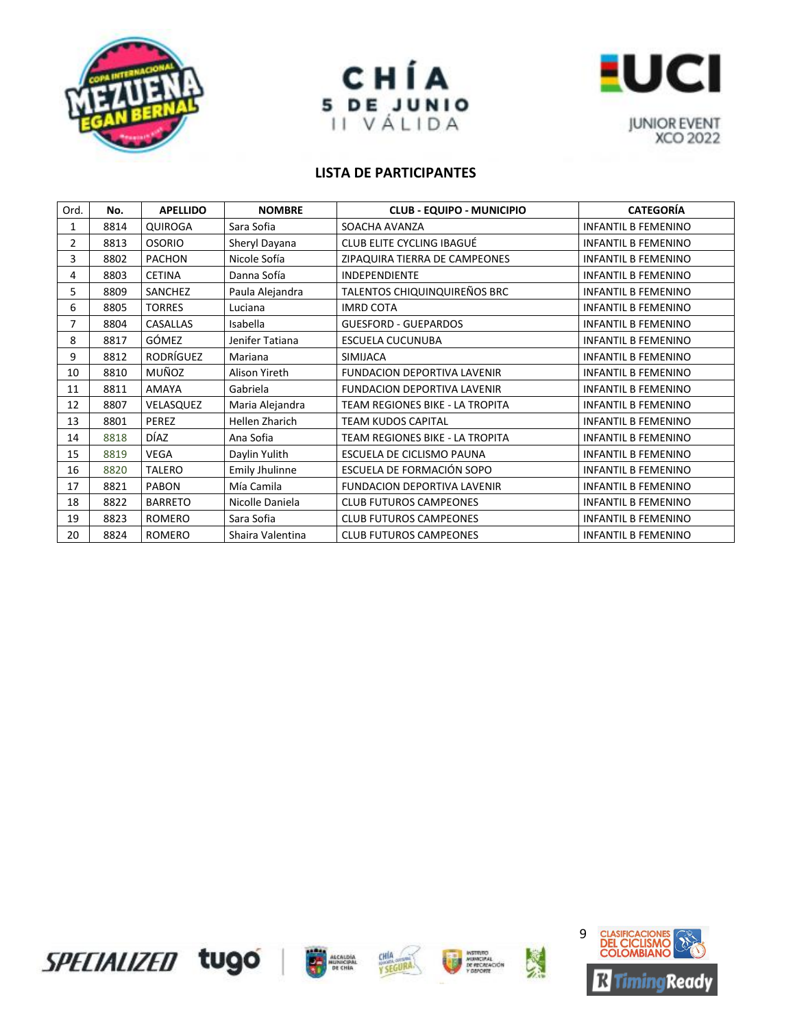





| Ord. | No.  | <b>APELLIDO</b>  | <b>NOMBRE</b>         | <b>CLUB - EQUIPO - MUNICIPIO</b>   | <b>CATEGORÍA</b>           |
|------|------|------------------|-----------------------|------------------------------------|----------------------------|
|      | 8814 | <b>QUIROGA</b>   | Sara Sofia            | SOACHA AVANZA                      | <b>INFANTIL B FEMENINO</b> |
| 2    | 8813 | <b>OSORIO</b>    | Sheryl Dayana         | CLUB ELITE CYCLING IBAGUÉ          | <b>INFANTIL B FEMENINO</b> |
| 3    | 8802 | <b>PACHON</b>    | Nicole Sofía          | ZIPAQUIRA TIERRA DE CAMPEONES      | <b>INFANTIL B FEMENINO</b> |
| 4    | 8803 | <b>CETINA</b>    | Danna Sofía           | INDEPENDIENTE                      | <b>INFANTIL B FEMENINO</b> |
| 5    | 8809 | SANCHEZ          | Paula Alejandra       | TALENTOS CHIQUINQUIREÑOS BRC       | <b>INFANTIL B FEMENINO</b> |
| 6    | 8805 | <b>TORRES</b>    | Luciana               | <b>IMRD COTA</b>                   | <b>INFANTIL B FEMENINO</b> |
| 7    | 8804 | <b>CASALLAS</b>  | Isabella              | <b>GUESFORD - GUEPARDOS</b>        | <b>INFANTIL B FEMENINO</b> |
| 8    | 8817 | GÓMEZ            | Jenifer Tatiana       | ESCUELA CUCUNUBA                   | <b>INFANTIL B FEMENINO</b> |
| 9    | 8812 | <b>RODRÍGUEZ</b> | Mariana               | <b>SIMIJACA</b>                    | <b>INFANTIL B FEMENINO</b> |
| 10   | 8810 | MUÑOZ            | Alison Yireth         | <b>FUNDACION DEPORTIVA LAVENIR</b> | <b>INFANTIL B FEMENINO</b> |
| 11   | 8811 | <b>AMAYA</b>     | Gabriela              | <b>FUNDACION DEPORTIVA LAVENIR</b> | <b>INFANTIL B FEMENINO</b> |
| 12   | 8807 | VELASQUEZ        | Maria Alejandra       | TEAM REGIONES BIKE - LA TROPITA    | <b>INFANTIL B FEMENINO</b> |
| 13   | 8801 | PEREZ            | <b>Hellen Zharich</b> | <b>TEAM KUDOS CAPITAL</b>          | <b>INFANTIL B FEMENINO</b> |
| 14   | 8818 | DÍAZ             | Ana Sofia             | TEAM REGIONES BIKE - LA TROPITA    | <b>INFANTIL B FEMENINO</b> |
| 15   | 8819 | <b>VEGA</b>      | Daylin Yulith         | ESCUELA DE CICLISMO PAUNA          | <b>INFANTIL B FEMENINO</b> |
| 16   | 8820 | <b>TALERO</b>    | <b>Emily Jhulinne</b> | ESCUELA DE FORMACIÓN SOPO          | <b>INFANTIL B FEMENINO</b> |
| 17   | 8821 | <b>PABON</b>     | Mía Camila            | FUNDACION DEPORTIVA LAVENIR        | <b>INFANTIL B FEMENINO</b> |
| 18   | 8822 | <b>BARRETO</b>   | Nicolle Daniela       | <b>CLUB FUTUROS CAMPEONES</b>      | <b>INFANTIL B FEMENINO</b> |
| 19   | 8823 | ROMERO           | Sara Sofia            | <b>CLUB FUTUROS CAMPEONES</b>      | <b>INFANTIL B FEMENINO</b> |
| 20   | 8824 | ROMERO           | Shaira Valentina      | <b>CLUB FUTUROS CAMPEONES</b>      | <b>INFANTIL B FEMENINO</b> |











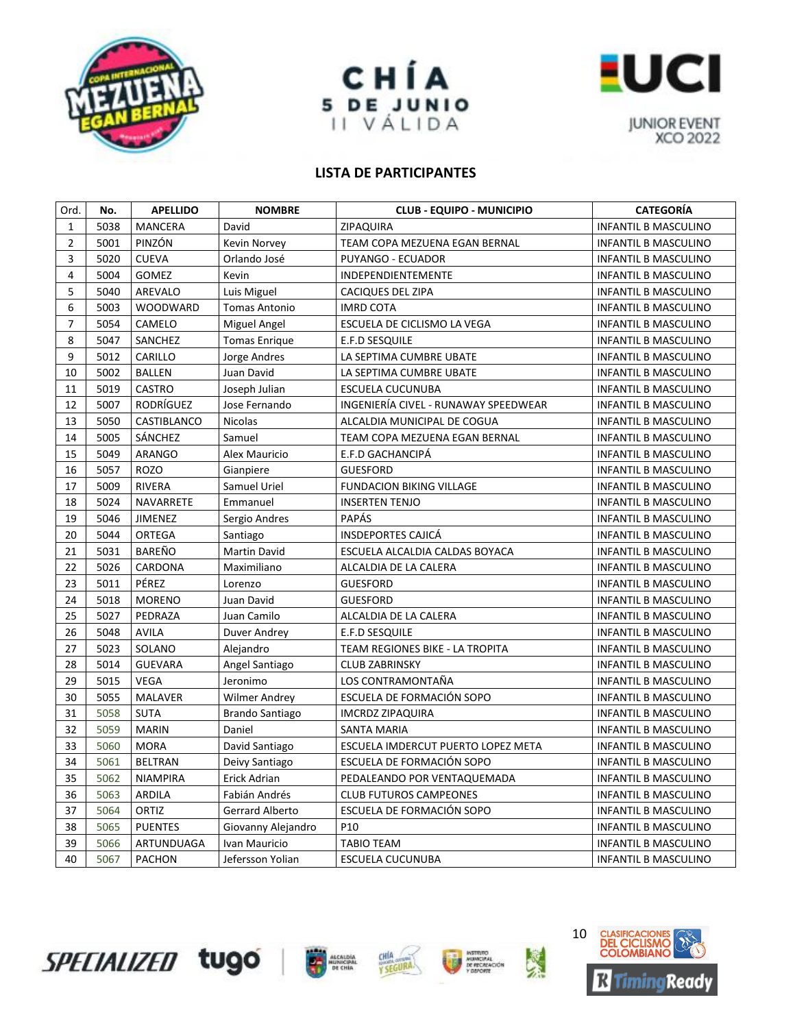





| Ord.           | No.  | <b>APELLIDO</b> | <b>NOMBRE</b>        | <b>CLUB - EQUIPO - MUNICIPIO</b>     | <b>CATEGORÍA</b>            |
|----------------|------|-----------------|----------------------|--------------------------------------|-----------------------------|
| $\mathbf{1}$   | 5038 | <b>MANCERA</b>  | David                | ZIPAQUIRA                            | <b>INFANTIL B MASCULINO</b> |
| $\overline{2}$ | 5001 | PINZÓN          | Kevin Norvey         | TEAM COPA MEZUENA EGAN BERNAL        | <b>INFANTIL B MASCULINO</b> |
| 3              | 5020 | <b>CUEVA</b>    | Orlando José         | PUYANGO - ECUADOR                    | <b>INFANTIL B MASCULINO</b> |
| $\overline{4}$ | 5004 | GOMEZ           | Kevin                | INDEPENDIENTEMENTE                   | <b>INFANTIL B MASCULINO</b> |
| 5              | 5040 | AREVALO         | Luis Miguel          | <b>CACIQUES DEL ZIPA</b>             | <b>INFANTIL B MASCULINO</b> |
| 6              | 5003 | <b>WOODWARD</b> | <b>Tomas Antonio</b> | <b>IMRD COTA</b>                     | <b>INFANTIL B MASCULINO</b> |
| 7              | 5054 | CAMELO          | Miguel Angel         | ESCUELA DE CICLISMO LA VEGA          | <b>INFANTIL B MASCULINO</b> |
| 8              | 5047 | SANCHEZ         | <b>Tomas Enrique</b> | E.F.D SESQUILE                       | <b>INFANTIL B MASCULINO</b> |
| 9              | 5012 | CARILLO         | Jorge Andres         | LA SEPTIMA CUMBRE UBATE              | <b>INFANTIL B MASCULINO</b> |
| 10             | 5002 | <b>BALLEN</b>   | Juan David           | LA SEPTIMA CUMBRE UBATE              | INFANTIL B MASCULINO        |
| 11             | 5019 | <b>CASTRO</b>   | Joseph Julian        | ESCUELA CUCUNUBA                     | <b>INFANTIL B MASCULINO</b> |
| 12             | 5007 | RODRÍGUEZ       | Jose Fernando        | INGENIERÍA CIVEL - RUNAWAY SPEEDWEAR | <b>INFANTIL B MASCULINO</b> |
| 13             | 5050 | CASTIBLANCO     | <b>Nicolas</b>       | ALCALDIA MUNICIPAL DE COGUA          | <b>INFANTIL B MASCULINO</b> |
| 14             | 5005 | SÁNCHEZ         | Samuel               | TEAM COPA MEZUENA EGAN BERNAL        | <b>INFANTIL B MASCULINO</b> |
| 15             | 5049 | <b>ARANGO</b>   | Alex Mauricio        | E.F.D GACHANCIPÁ                     | <b>INFANTIL B MASCULINO</b> |
| 16             | 5057 | ROZO            | Gianpiere            | <b>GUESFORD</b>                      | <b>INFANTIL B MASCULINO</b> |
| 17             | 5009 | <b>RIVERA</b>   | Samuel Uriel         | <b>FUNDACION BIKING VILLAGE</b>      | <b>INFANTIL B MASCULINO</b> |
| 18             | 5024 | NAVARRETE       | Emmanuel             | <b>INSERTEN TENJO</b>                | <b>INFANTIL B MASCULINO</b> |
| 19             | 5046 | <b>JIMENEZ</b>  | Sergio Andres        | <b>PAPÁS</b>                         | <b>INFANTIL B MASCULINO</b> |
| 20             | 5044 | <b>ORTEGA</b>   | Santiago             | <b>INSDEPORTES CAJICÁ</b>            | <b>INFANTIL B MASCULINO</b> |
| 21             | 5031 | BAREÑO          | <b>Martin David</b>  | ESCUELA ALCALDIA CALDAS BOYACA       | <b>INFANTIL B MASCULINO</b> |
| 22             | 5026 | CARDONA         | Maximiliano          | ALCALDIA DE LA CALERA                | <b>INFANTIL B MASCULINO</b> |
| 23             | 5011 | PÉREZ           | Lorenzo              | <b>GUESFORD</b>                      | <b>INFANTIL B MASCULINO</b> |
| 24             | 5018 | <b>MORENO</b>   | Juan David           | <b>GUESFORD</b>                      | <b>INFANTIL B MASCULINO</b> |
| 25             | 5027 | PEDRAZA         | Juan Camilo          | ALCALDIA DE LA CALERA                | <b>INFANTIL B MASCULINO</b> |
| 26             | 5048 | <b>AVILA</b>    | Duver Andrey         | E.F.D SESQUILE                       | <b>INFANTIL B MASCULINO</b> |
| 27             | 5023 | SOLANO          | Alejandro            | TEAM REGIONES BIKE - LA TROPITA      | <b>INFANTIL B MASCULINO</b> |
| 28             | 5014 | <b>GUEVARA</b>  | Angel Santiago       | <b>CLUB ZABRINSKY</b>                | <b>INFANTIL B MASCULINO</b> |
| 29             | 5015 | <b>VEGA</b>     | Jeronimo             | LOS CONTRAMONTAÑA                    | <b>INFANTIL B MASCULINO</b> |
| 30             | 5055 | <b>MALAVER</b>  | <b>Wilmer Andrey</b> | ESCUELA DE FORMACIÓN SOPO            | <b>INFANTIL B MASCULINO</b> |
| 31             | 5058 | <b>SUTA</b>     | Brando Santiago      | <b>IMCRDZ ZIPAQUIRA</b>              | <b>INFANTIL B MASCULINO</b> |
| 32             | 5059 | <b>MARIN</b>    | Daniel               | <b>SANTA MARIA</b>                   | <b>INFANTIL B MASCULINO</b> |
| 33             | 5060 | <b>MORA</b>     | David Santiago       | ESCUELA IMDERCUT PUERTO LOPEZ META   | <b>INFANTIL B MASCULINO</b> |
| 34             | 5061 | <b>BELTRAN</b>  | Deivy Santiago       | ESCUELA DE FORMACIÓN SOPO            | <b>INFANTIL B MASCULINO</b> |
| 35             | 5062 | <b>NIAMPIRA</b> | Erick Adrian         | PEDALEANDO POR VENTAQUEMADA          | <b>INFANTIL B MASCULINO</b> |
| 36             | 5063 | <b>ARDILA</b>   | Fabián Andrés        | <b>CLUB FUTUROS CAMPEONES</b>        | <b>INFANTIL B MASCULINO</b> |
| 37             | 5064 | ORTIZ           | Gerrard Alberto      | ESCUELA DE FORMACIÓN SOPO            | <b>INFANTIL B MASCULINO</b> |
| 38             | 5065 | <b>PUENTES</b>  | Giovanny Alejandro   | P <sub>10</sub>                      | <b>INFANTIL B MASCULINO</b> |
| 39             | 5066 | ARTUNDUAGA      | Ivan Mauricio        | <b>TABIO TEAM</b>                    | <b>INFANTIL B MASCULINO</b> |
| 40             | 5067 | <b>PACHON</b>   | Jefersson Yolian     | <b>ESCUELA CUCUNUBA</b>              | <b>INFANTIL B MASCULINO</b> |







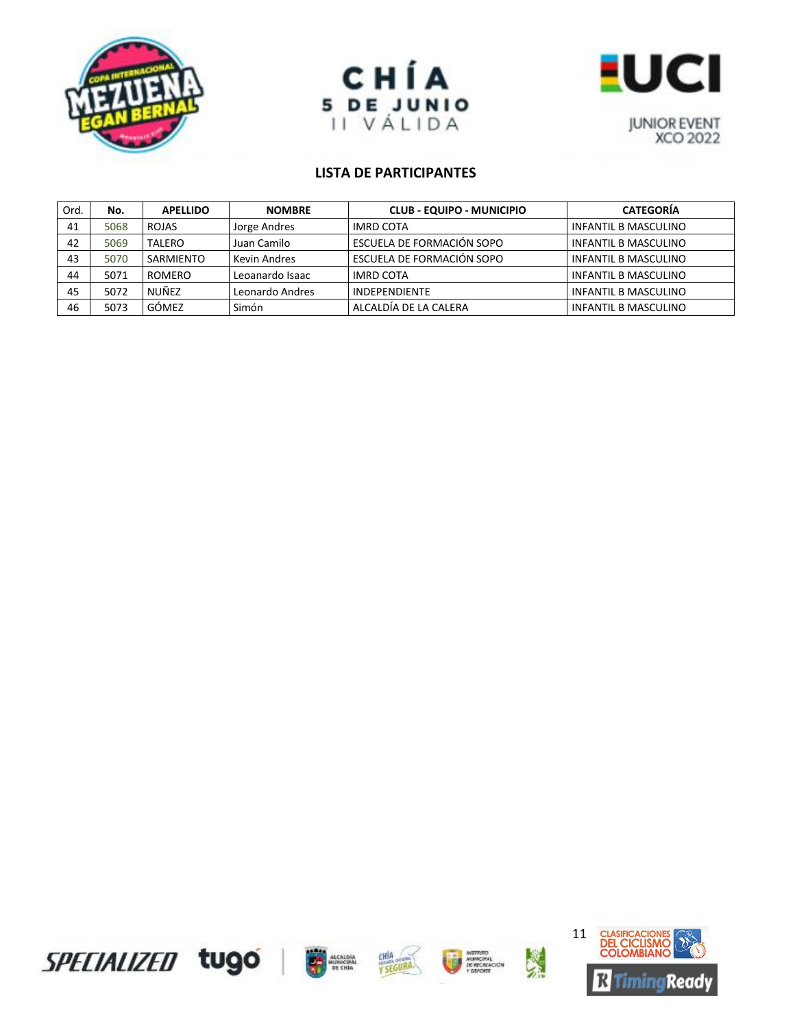





| Ord. | No.  | <b>APELLIDO</b> | <b>NOMBRE</b>   | <b>CLUB - EQUIPO - MUNICIPIO</b> | <b>CATEGORÍA</b>            |
|------|------|-----------------|-----------------|----------------------------------|-----------------------------|
| 41   | 5068 | <b>ROJAS</b>    | Jorge Andres    | <b>IMRD COTA</b>                 | <b>INFANTIL B MASCULINO</b> |
| 42   | 5069 | <b>TALERO</b>   | Juan Camilo     | ESCUELA DE FORMACIÓN SOPO        | INFANTIL B MASCULINO        |
| 43   | 5070 | SARMIENTO       | Kevin Andres    | ESCUELA DE FORMACIÓN SOPO        | INFANTIL B MASCULINO        |
| 44   | 5071 | <b>ROMERO</b>   | Leoanardo Isaac | <b>IMRD COTA</b>                 | INFANTIL B MASCULINO        |
| 45   | 5072 | NUÑEZ           | Leonardo Andres | INDEPENDIENTE                    | <b>INFANTIL B MASCULINO</b> |
| 46   | 5073 | GÓMEZ           | Simón           | ALCALDÍA DE LA CALERA            | <b>INFANTIL B MASCULINO</b> |









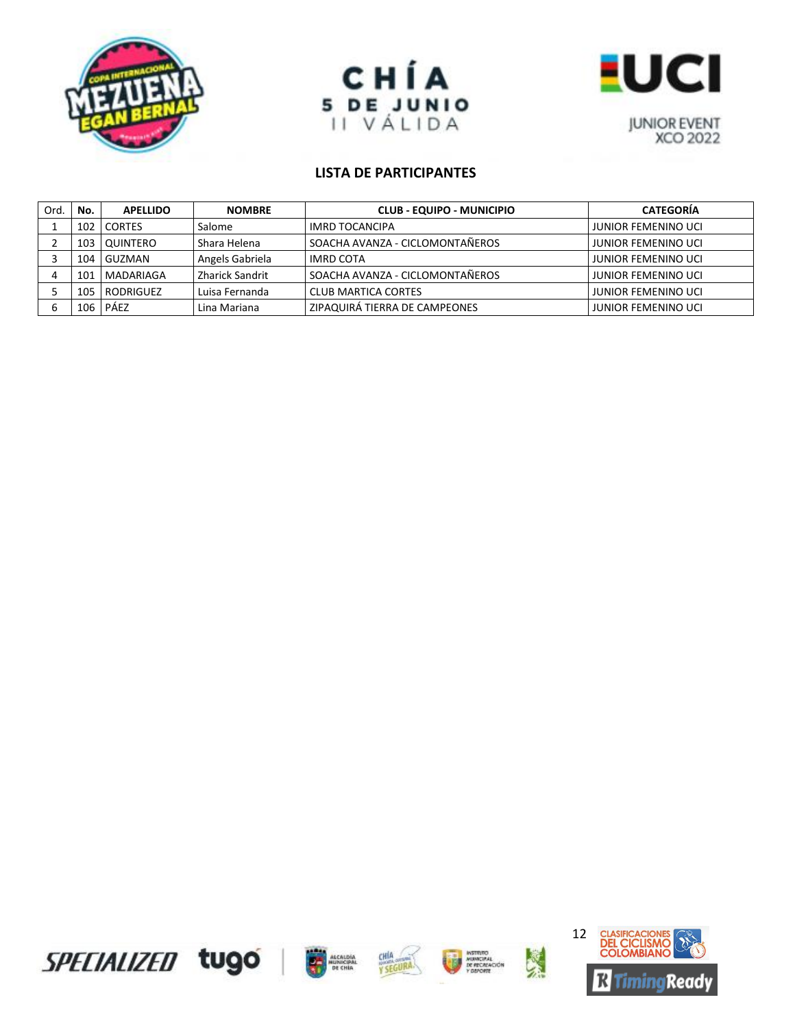





| Ord. | No.   | <b>APELLIDO</b> | <b>NOMBRE</b>   | <b>CLUB - EQUIPO - MUNICIPIO</b> | <b>CATEGORÍA</b>           |
|------|-------|-----------------|-----------------|----------------------------------|----------------------------|
|      | 102   | <b>CORTES</b>   | Salome          | IMRD TOCANCIPA                   | JUNIOR FEMENINO UCI        |
|      |       | 103   QUINTERO  | Shara Helena    | SOACHA AVANZA - CICLOMONTAÑEROS  | <b>JUNIOR FEMENINO UCI</b> |
|      | 104   | I GUZMAN        | Angels Gabriela | IMRD COTA                        | <b>JUNIOR FEMENINO UCI</b> |
|      | 101   | MADARIAGA       | Zharick Sandrit | SOACHA AVANZA - CICLOMONTAÑEROS  | <b>JUNIOR FEMENINO UCI</b> |
|      | 105   | RODRIGUEZ       | Luisa Fernanda  | <b>CLUB MARTICA CORTES</b>       | <b>JUNIOR FEMENINO UCI</b> |
|      | 106 l | PÁEZ            | Lina Mariana    | ZIPAQUIRÁ TIERRA DE CAMPEONES    | <b>JUNIOR FEMENINO UCI</b> |









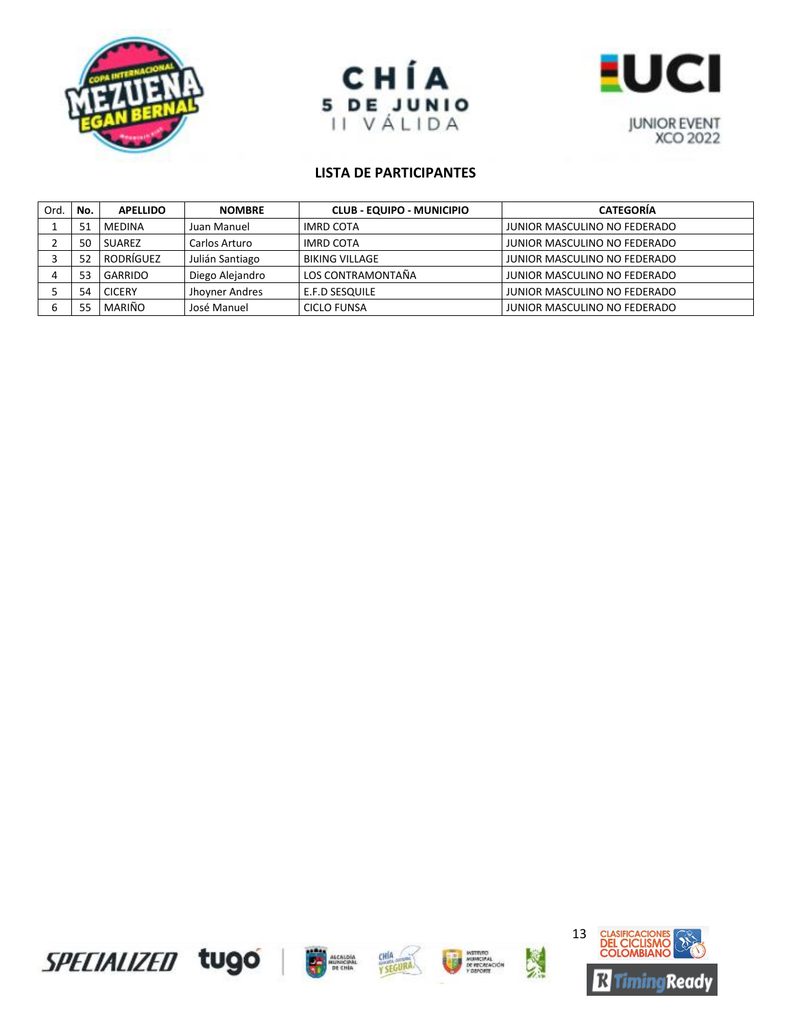





| Ord. | No. | <b>APELLIDO</b> | <b>NOMBRE</b>   | <b>CLUB - EQUIPO - MUNICIPIO</b> | <b>CATEGORÍA</b>             |
|------|-----|-----------------|-----------------|----------------------------------|------------------------------|
|      | 51  | <b>MEDINA</b>   | Juan Manuel     | <b>IMRD COTA</b>                 | JUNIOR MASCULINO NO FEDERADO |
|      | 50  | <b>SUAREZ</b>   | Carlos Arturo   | <b>IMRD COTA</b>                 | JUNIOR MASCULINO NO FEDERADO |
|      | 52  | RODRÍGUEZ       | Julián Santiago | <b>BIKING VILLAGE</b>            | JUNIOR MASCULINO NO FEDERADO |
|      | 53  | GARRIDO         | Diego Alejandro | LOS CONTRAMONTAÑA                | JUNIOR MASCULINO NO FEDERADO |
|      | 54  | <b>CICERY</b>   | Jhoyner Andres  | E.F.D SESQUILE                   | JUNIOR MASCULINO NO FEDERADO |
|      |     | MARIÑO          | José Manuel     | <b>CICLO FUNSA</b>               | JUNIOR MASCULINO NO FEDERADO |









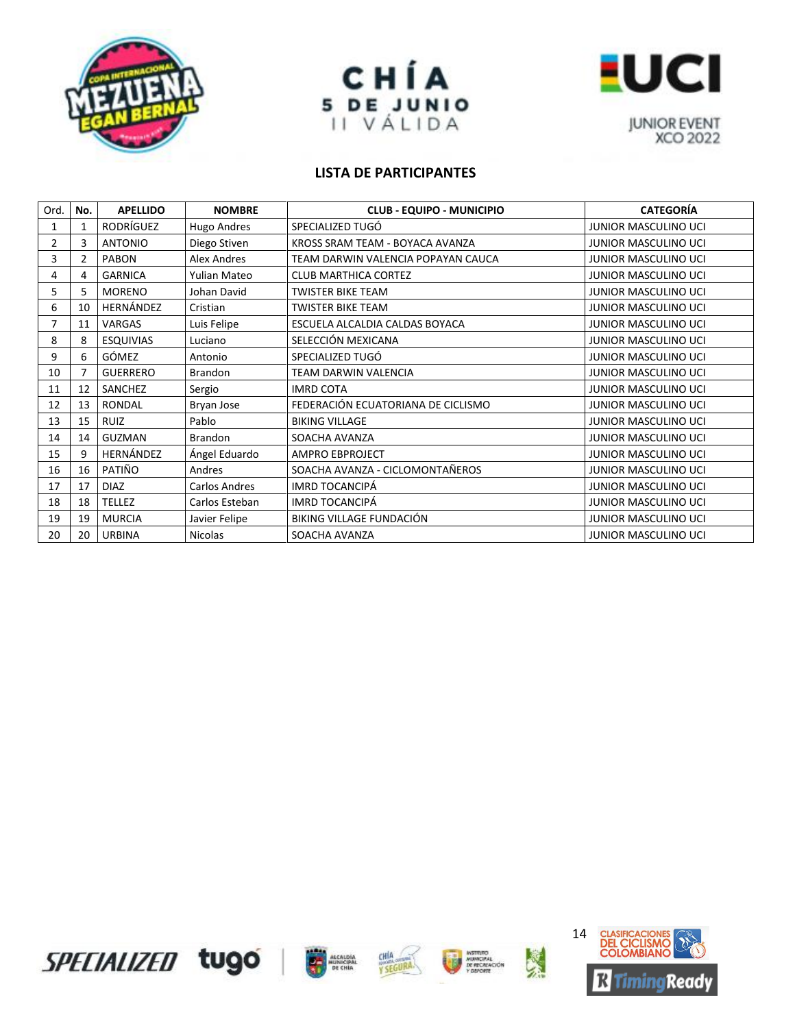





| Ord. | No. | <b>APELLIDO</b>  | <b>NOMBRE</b>  | <b>CLUB - EQUIPO - MUNICIPIO</b>   | <b>CATEGORÍA</b>            |
|------|-----|------------------|----------------|------------------------------------|-----------------------------|
| 1    |     | RODRÍGUEZ        | Hugo Andres    | SPECIALIZED TUGÓ                   | JUNIOR MASCULINO UCI        |
| 2    | 3   | <b>ANTONIO</b>   | Diego Stiven   | KROSS SRAM TEAM - BOYACA AVANZA    | JUNIOR MASCULINO UCI        |
| 3    | 2   | <b>PABON</b>     | Alex Andres    | TEAM DARWIN VALENCIA POPAYAN CAUCA | JUNIOR MASCULINO UCI        |
| 4    | 4   | <b>GARNICA</b>   | Yulian Mateo   | <b>CLUB MARTHICA CORTEZ</b>        | <b>JUNIOR MASCULINO UCI</b> |
| 5    | 5   | <b>MORENO</b>    | Johan David    | <b>TWISTER BIKE TEAM</b>           | <b>JUNIOR MASCULINO UCI</b> |
| 6    | 10  | HERNÁNDEZ        | Cristian       | <b>TWISTER BIKE TEAM</b>           | JUNIOR MASCULINO UCI        |
| 7    | 11  | VARGAS           | Luis Felipe    | ESCUELA ALCALDIA CALDAS BOYACA     | JUNIOR MASCULINO UCI        |
| 8    | 8   | <b>ESQUIVIAS</b> | Luciano        | SELECCIÓN MEXICANA                 | <b>JUNIOR MASCULINO UCI</b> |
| 9    | 6   | GÓMEZ            | Antonio        | SPECIALIZED TUGÓ                   | <b>JUNIOR MASCULINO UCI</b> |
| 10   | 7   | <b>GUERRERO</b>  | <b>Brandon</b> | <b>TEAM DARWIN VALENCIA</b>        | <b>JUNIOR MASCULINO UCI</b> |
| 11   | 12  | SANCHEZ          | Sergio         | <b>IMRD COTA</b>                   | <b>JUNIOR MASCULINO UCI</b> |
| 12   | 13  | <b>RONDAL</b>    | Bryan Jose     | FEDERACIÓN ECUATORIANA DE CICLISMO | <b>JUNIOR MASCULINO UCI</b> |
| 13   | 15  | <b>RUIZ</b>      | Pablo          | <b>BIKING VILLAGE</b>              | JUNIOR MASCULINO UCI        |
| 14   | 14  | <b>GUZMAN</b>    | <b>Brandon</b> | SOACHA AVANZA                      | JUNIOR MASCULINO UCI        |
| 15   | q   | HERNÁNDEZ        | Ángel Eduardo  | <b>AMPRO EBPROJECT</b>             | <b>JUNIOR MASCULINO UCI</b> |
| 16   | 16  | PATIÑO           | Andres         | SOACHA AVANZA - CICLOMONTAÑEROS    | <b>JUNIOR MASCULINO UCI</b> |
| 17   | 17  | <b>DIAZ</b>      | Carlos Andres  | <b>IMRD TOCANCIPÁ</b>              | <b>JUNIOR MASCULINO UCI</b> |
| 18   | 18  | <b>TELLEZ</b>    | Carlos Esteban | <b>IMRD TOCANCIPÁ</b>              | JUNIOR MASCULINO UCI        |
| 19   | 19  | <b>MURCIA</b>    | Javier Felipe  | BIKING VILLAGE FUNDACIÓN           | JUNIOR MASCULINO UCI        |
| 20   | 20  | <b>URBINA</b>    | <b>Nicolas</b> | SOACHA AVANZA                      | JUNIOR MASCULINO UCI        |









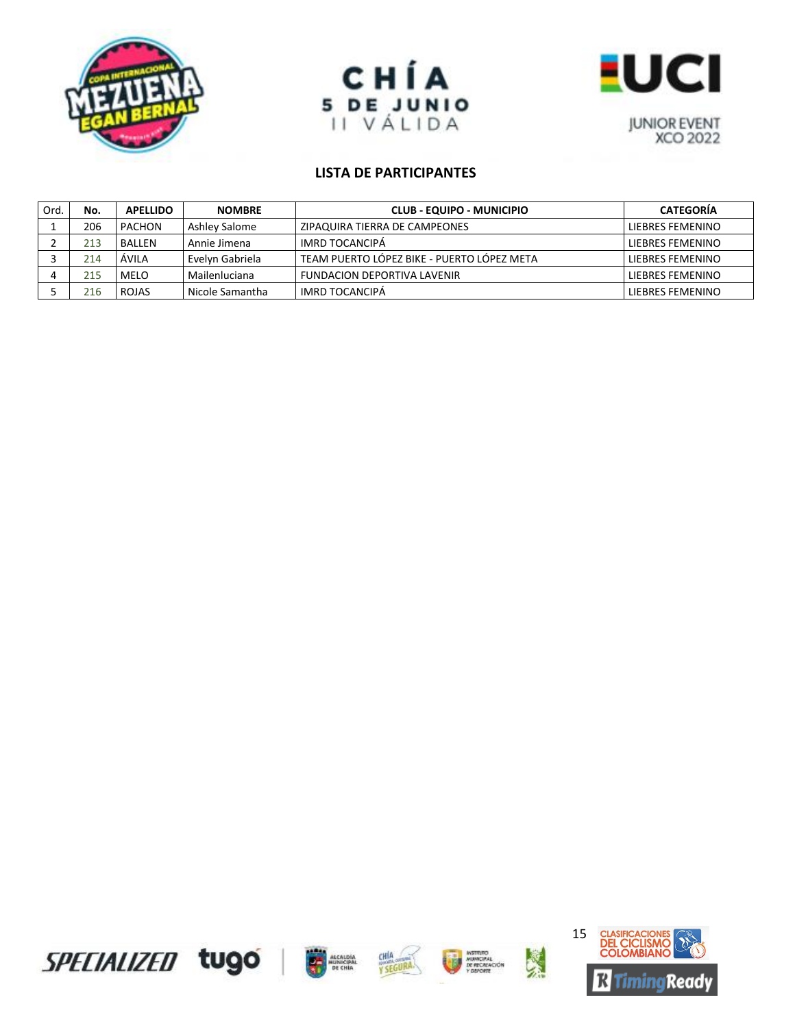





| Ord. | No. | <b>APELLIDO</b> | <b>NOMBRE</b>   | CLUB - EQUIPO - MUNICIPIO                  | <b>CATEGORIA</b>        |
|------|-----|-----------------|-----------------|--------------------------------------------|-------------------------|
|      | 206 | <b>PACHON</b>   | Ashley Salome   | ZIPAQUIRA TIERRA DE CAMPEONES              | LIEBRES FEMENINO        |
|      | 213 | <b>BALLEN</b>   | Annie Jimena    | IMRD TOCANCIPÁ                             | LIEBRES FEMENINO        |
|      | 214 | ÁVILA           | Evelyn Gabriela | TEAM PUERTO LÓPEZ BIKE - PUERTO LÓPEZ META | <b>LIFBRES FEMENINO</b> |
|      | 215 | <b>MELO</b>     | Mailenluciana   | <b>FUNDACION DEPORTIVA LAVENIR</b>         | LIEBRES FEMENINO        |
|      | 216 | <b>ROJAS</b>    | Nicole Samantha | IMRD TOCANCIPÁ                             | LIEBRES FEMENINO        |



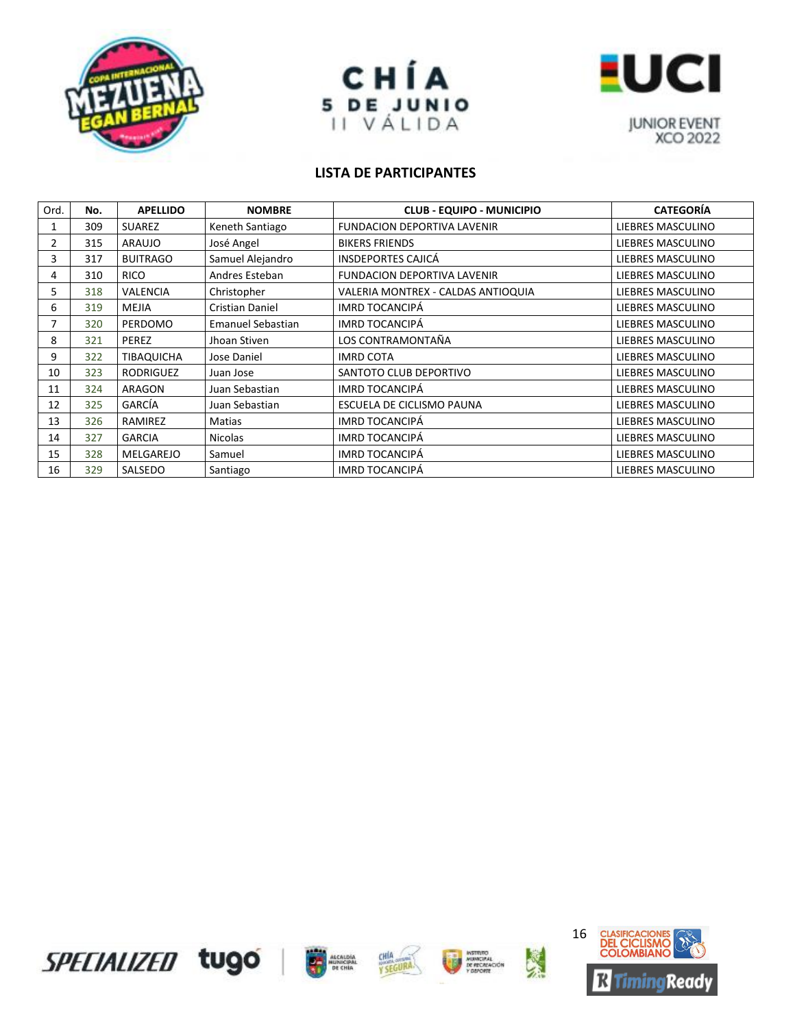





| Ord. | No. | <b>APELLIDO</b>   | <b>NOMBRE</b>            | <b>CLUB - EQUIPO - MUNICIPIO</b>   | <b>CATEGORÍA</b>  |
|------|-----|-------------------|--------------------------|------------------------------------|-------------------|
|      | 309 | <b>SUAREZ</b>     | Keneth Santiago          | <b>FUNDACION DEPORTIVA LAVENIR</b> | LIEBRES MASCULINO |
| 2    | 315 | <b>ARAUJO</b>     | José Angel               | <b>BIKERS FRIENDS</b>              | LIEBRES MASCULINO |
| 3    | 317 | <b>BUITRAGO</b>   | Samuel Alejandro         | <b>INSDEPORTES CAJICÁ</b>          | LIEBRES MASCULINO |
| 4    | 310 | <b>RICO</b>       | Andres Esteban           | <b>FUNDACION DEPORTIVA LAVENIR</b> | LIEBRES MASCULINO |
| 5    | 318 | <b>VALENCIA</b>   | Christopher              | VALERIA MONTREX - CALDAS ANTIOQUIA | LIEBRES MASCULINO |
| 6    | 319 | <b>MEJIA</b>      | <b>Cristian Daniel</b>   | <b>IMRD TOCANCIPÁ</b>              | LIEBRES MASCULINO |
|      | 320 | PERDOMO           | <b>Emanuel Sebastian</b> | <b>IMRD TOCANCIPÁ</b>              | LIEBRES MASCULINO |
| 8    | 321 | <b>PEREZ</b>      | Jhoan Stiven             | LOS CONTRAMONTAÑA                  | LIEBRES MASCULINO |
| 9    | 322 | <b>TIBAQUICHA</b> | Jose Daniel              | <b>IMRD COTA</b>                   | LIEBRES MASCULINO |
| 10   | 323 | RODRIGUEZ         | Juan Jose                | SANTOTO CLUB DEPORTIVO             | LIEBRES MASCULINO |
| 11   | 324 | ARAGON            | Juan Sebastian           | <b>IMRD TOCANCIPÁ</b>              | LIEBRES MASCULINO |
| 12   | 325 | GARCÍA            | Juan Sebastian           | ESCUELA DE CICLISMO PAUNA          | LIEBRES MASCULINO |
| 13   | 326 | RAMIREZ           | Matias                   | <b>IMRD TOCANCIPÁ</b>              | LIEBRES MASCULINO |
| 14   | 327 | <b>GARCIA</b>     | <b>Nicolas</b>           | <b>IMRD TOCANCIPÁ</b>              | LIEBRES MASCULINO |
| 15   | 328 | MELGAREJO         | Samuel                   | <b>IMRD TOCANCIPÁ</b>              | LIEBRES MASCULINO |
| 16   | 329 | SALSEDO           | Santiago                 | <b>IMRD TOCANCIPÁ</b>              | LIEBRES MASCULINO |









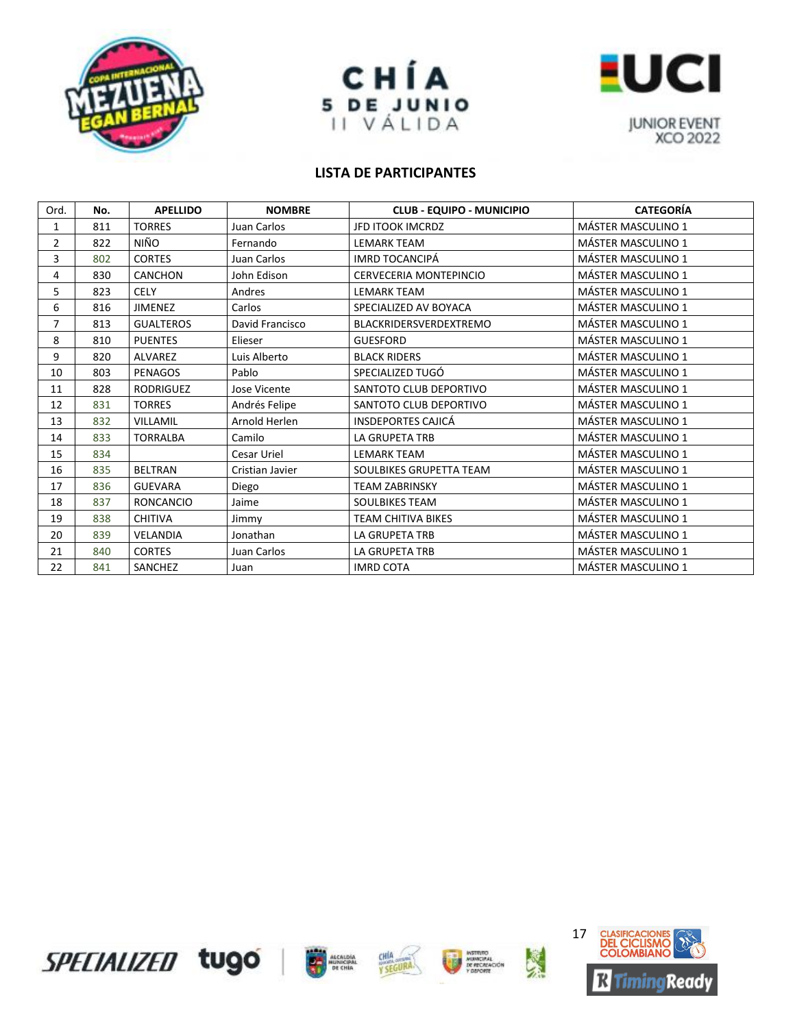





| Ord.           | No. | <b>APELLIDO</b>  | <b>NOMBRE</b>   | <b>CLUB - EQUIPO - MUNICIPIO</b> | <b>CATEGORÍA</b>          |
|----------------|-----|------------------|-----------------|----------------------------------|---------------------------|
| 1              | 811 | <b>TORRES</b>    | Juan Carlos     | <b>JFD ITOOK IMCRDZ</b>          | <b>MÁSTER MASCULINO 1</b> |
| $\overline{2}$ | 822 | NIÑO             | Fernando        | <b>LEMARK TEAM</b>               | <b>MÁSTER MASCULINO 1</b> |
| 3              | 802 | <b>CORTES</b>    | Juan Carlos     | IMRD TOCANCIPÁ                   | <b>MÁSTER MASCULINO 1</b> |
| 4              | 830 | <b>CANCHON</b>   | John Edison     | CERVECERIA MONTEPINCIO           | <b>MÁSTER MASCULINO 1</b> |
| 5              | 823 | <b>CELY</b>      | Andres          | <b>LEMARK TEAM</b>               | <b>MÁSTER MASCULINO 1</b> |
| 6              | 816 | <b>JIMENEZ</b>   | Carlos          | SPECIALIZED AV BOYACA            | <b>MÁSTER MASCULINO 1</b> |
| $\overline{7}$ | 813 | <b>GUALTEROS</b> | David Francisco | <b>BLACKRIDERSVERDEXTREMO</b>    | MÁSTER MASCULINO 1        |
| 8              | 810 | <b>PUENTES</b>   | Elieser         | <b>GUESFORD</b>                  | <b>MÁSTER MASCULINO 1</b> |
| 9              | 820 | <b>ALVAREZ</b>   | Luis Alberto    | <b>BLACK RIDERS</b>              | <b>MÁSTER MASCULINO 1</b> |
| 10             | 803 | <b>PENAGOS</b>   | Pablo           | SPECIALIZED TUGÓ                 | <b>MÁSTER MASCULINO 1</b> |
| 11             | 828 | <b>RODRIGUEZ</b> | Jose Vicente    | SANTOTO CLUB DEPORTIVO           | <b>MÁSTER MASCULINO 1</b> |
| 12             | 831 | <b>TORRES</b>    | Andrés Felipe   | SANTOTO CLUB DEPORTIVO           | <b>MÁSTER MASCULINO 1</b> |
| 13             | 832 | <b>VILLAMIL</b>  | Arnold Herlen   | <b>INSDEPORTES CAJICÁ</b>        | <b>MÁSTER MASCULINO 1</b> |
| 14             | 833 | <b>TORRALBA</b>  | Camilo          | LA GRUPETA TRB                   | <b>MÁSTER MASCULINO 1</b> |
| 15             | 834 |                  | Cesar Uriel     | <b>LEMARK TEAM</b>               | <b>MÁSTER MASCULINO 1</b> |
| 16             | 835 | <b>BELTRAN</b>   | Cristian Javier | SOULBIKES GRUPETTA TEAM          | <b>MÁSTER MASCULINO 1</b> |
| 17             | 836 | <b>GUEVARA</b>   | Diego           | <b>TEAM ZABRINSKY</b>            | <b>MÁSTER MASCULINO 1</b> |
| 18             | 837 | <b>RONCANCIO</b> | Jaime           | <b>SOULBIKES TEAM</b>            | <b>MÁSTER MASCULINO 1</b> |
| 19             | 838 | <b>CHITIVA</b>   | Jimmy           | <b>TEAM CHITIVA BIKES</b>        | <b>MÁSTER MASCULINO 1</b> |
| 20             | 839 | VELANDIA         | Jonathan        | <b>LA GRUPETA TRB</b>            | <b>MÁSTER MASCULINO 1</b> |
| 21             | 840 | <b>CORTES</b>    | Juan Carlos     | <b>LA GRUPETA TRB</b>            | MÁSTER MASCULINO 1        |
| 22             | 841 | SANCHEZ          | Juan            | <b>IMRD COTA</b>                 | <b>MÁSTER MASCULINO 1</b> |









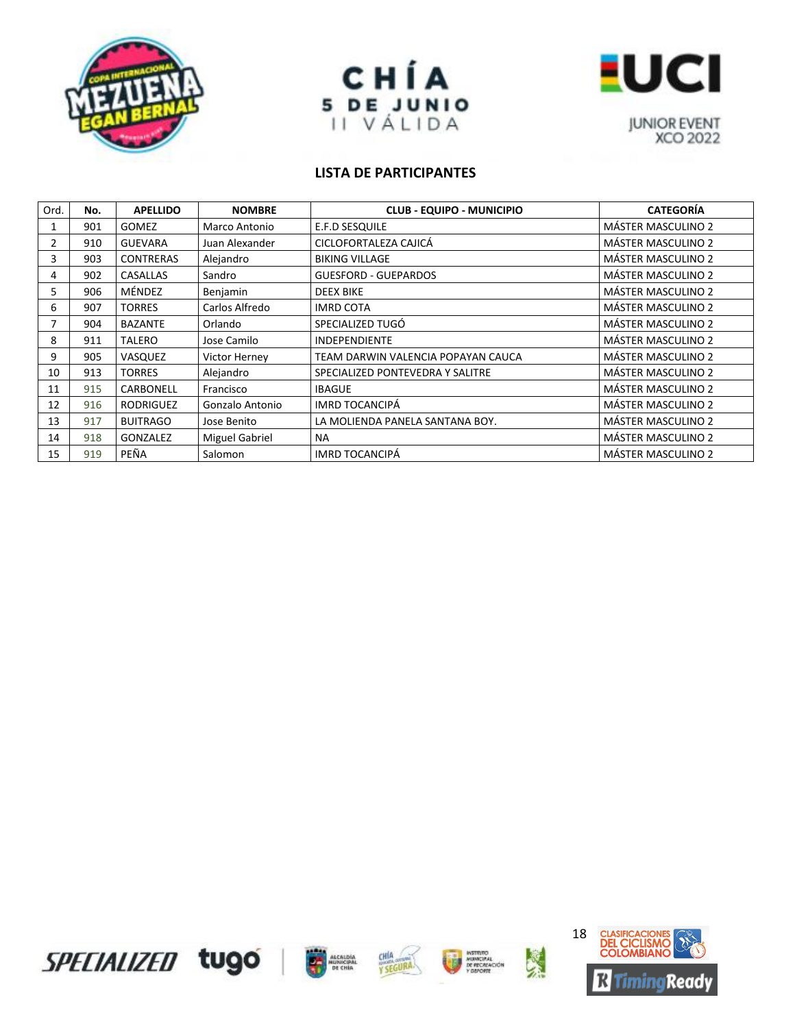





| Ord. | No. | <b>APELLIDO</b>  | <b>NOMBRE</b>         | <b>CLUB - EQUIPO - MUNICIPIO</b>   | <b>CATEGORÍA</b>          |
|------|-----|------------------|-----------------------|------------------------------------|---------------------------|
| 1    | 901 | <b>GOMEZ</b>     | Marco Antonio         | E.F.D SESQUILE                     | <b>MÁSTER MASCULINO 2</b> |
| 2    | 910 | <b>GUEVARA</b>   | Juan Alexander        | CICLOFORTALEZA CAJICÁ              | <b>MÁSTER MASCULINO 2</b> |
| 3    | 903 | <b>CONTRERAS</b> | Alejandro             | <b>BIKING VILLAGE</b>              | <b>MÁSTER MASCULINO 2</b> |
| 4    | 902 | CASALLAS         | Sandro                | <b>GUESFORD - GUEPARDOS</b>        | <b>MÁSTER MASCULINO 2</b> |
| 5.   | 906 | MÉNDEZ           | Benjamin              | <b>DEEX BIKE</b>                   | <b>MÁSTER MASCULINO 2</b> |
| 6    | 907 | <b>TORRES</b>    | Carlos Alfredo        | <b>IMRD COTA</b>                   | MÁSTER MASCULINO 2        |
|      | 904 | <b>BAZANTE</b>   | Orlando               | SPECIALIZED TUGÓ                   | <b>MÁSTER MASCULINO 2</b> |
| 8    | 911 | <b>TALERO</b>    | Jose Camilo           | <b>INDEPENDIENTE</b>               | MÁSTER MASCULINO 2        |
| 9    | 905 | VASQUEZ          | Victor Herney         | TEAM DARWIN VALENCIA POPAYAN CAUCA | <b>MÁSTER MASCULINO 2</b> |
| 10   | 913 | <b>TORRES</b>    | Alejandro             | SPECIALIZED PONTEVEDRA Y SALITRE   | <b>MÁSTER MASCULINO 2</b> |
| 11   | 915 | <b>CARBONELL</b> | Francisco             | <b>IBAGUE</b>                      | <b>MÁSTER MASCULINO 2</b> |
| 12   | 916 | <b>RODRIGUEZ</b> | Gonzalo Antonio       | <b>IMRD TOCANCIPÁ</b>              | <b>MÁSTER MASCULINO 2</b> |
| 13   | 917 | <b>BUITRAGO</b>  | Jose Benito           | LA MOLIENDA PANELA SANTANA BOY.    | <b>MÁSTER MASCULINO 2</b> |
| 14   | 918 | GONZALEZ         | <b>Miguel Gabriel</b> | <b>NA</b>                          | <b>MÁSTER MASCULINO 2</b> |
| 15   | 919 | PEÑA             | Salomon               | <b>IMRD TOCANCIPÁ</b>              | <b>MÁSTER MASCULINO 2</b> |









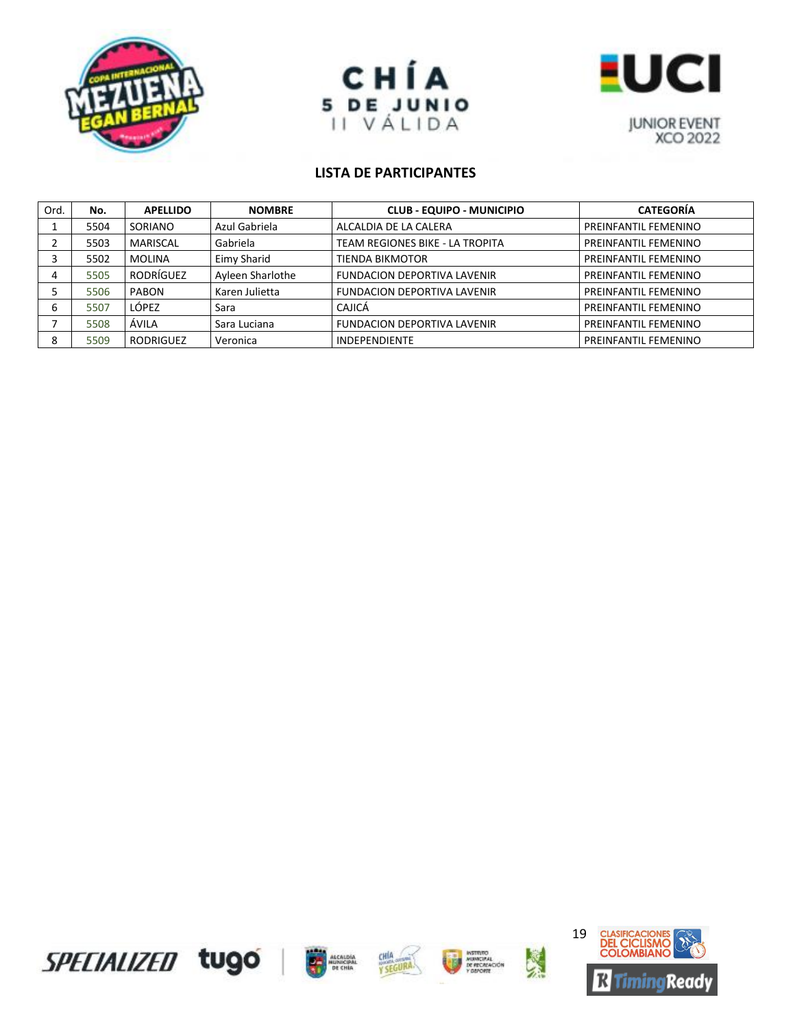





| Ord. | No.  | <b>APELLIDO</b> | <b>NOMBRE</b>    | <b>CLUB - EQUIPO - MUNICIPIO</b>   | <b>CATEGORÍA</b>     |
|------|------|-----------------|------------------|------------------------------------|----------------------|
|      | 5504 | SORIANO         | Azul Gabriela    | ALCALDIA DE LA CALERA              | PREINFANTIL FEMENINO |
|      | 5503 | MARISCAL        | Gabriela         | TEAM REGIONES BIKE - LA TROPITA    | PREINFANTIL FEMENINO |
|      | 5502 | MOLINA          | Eimy Sharid      | TIENDA BIKMOTOR                    | PREINFANTIL FEMENINO |
| 4    | 5505 | RODRÍGUEZ       | Ayleen Sharlothe | <b>FUNDACION DEPORTIVA LAVENIR</b> | PREINFANTIL FEMENINO |
|      | 5506 | PABON           | Karen Julietta   | <b>FUNDACION DEPORTIVA LAVENIR</b> | PREINFANTIL FEMENINO |
| 6    | 5507 | LÓPEZ           | Sara             | CAJICÁ                             | PREINFANTIL FEMENINO |
|      | 5508 | ÁVILA           | Sara Luciana     | <b>FUNDACION DEPORTIVA LAVENIR</b> | PREINFANTIL FEMENINO |
| 8    | 5509 | RODRIGUEZ       | Veronica         | <b>INDEPENDIENTE</b>               | PREINFANTIL FEMENINO |









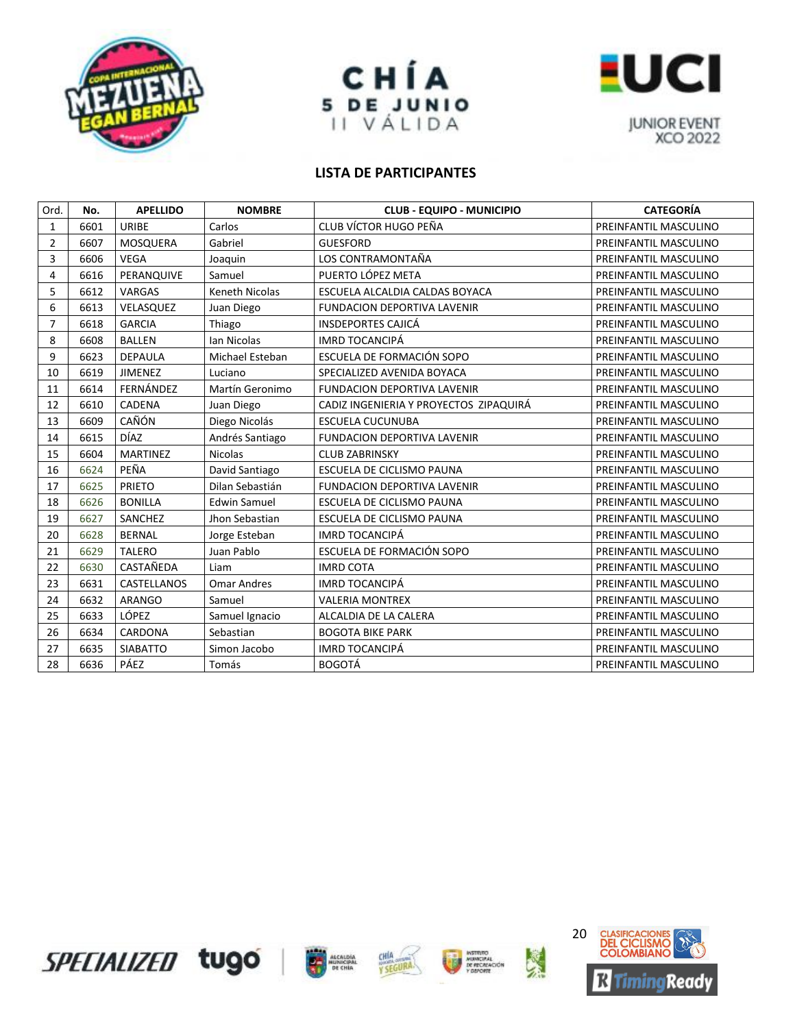





| Ord.           | No.  | <b>APELLIDO</b> | <b>NOMBRE</b>         | <b>CLUB - EQUIPO - MUNICIPIO</b>       | <b>CATEGORÍA</b>      |
|----------------|------|-----------------|-----------------------|----------------------------------------|-----------------------|
| $\mathbf{1}$   | 6601 | <b>URIBE</b>    | Carlos                | CLUB VÍCTOR HUGO PEÑA                  | PREINFANTIL MASCULINO |
| $\overline{2}$ | 6607 | MOSQUERA        | Gabriel               | <b>GUESFORD</b>                        | PREINFANTIL MASCULINO |
| 3              | 6606 | <b>VEGA</b>     | Joaquin               | LOS CONTRAMONTAÑA                      | PREINFANTIL MASCULINO |
| 4              | 6616 | PERANQUIVE      | Samuel                | PUERTO LÓPEZ META                      | PREINFANTIL MASCULINO |
| 5              | 6612 | VARGAS          | <b>Keneth Nicolas</b> | ESCUELA ALCALDIA CALDAS BOYACA         | PREINFANTIL MASCULINO |
| 6              | 6613 | VELASQUEZ       | Juan Diego            | <b>FUNDACION DEPORTIVA LAVENIR</b>     | PREINFANTIL MASCULINO |
| $\overline{7}$ | 6618 | <b>GARCIA</b>   | Thiago                | <b>INSDEPORTES CAJICÁ</b>              | PREINFANTIL MASCULINO |
| 8              | 6608 | <b>BALLEN</b>   | Ian Nicolas           | <b>IMRD TOCANCIPÁ</b>                  | PREINFANTIL MASCULINO |
| 9              | 6623 | <b>DEPAULA</b>  | Michael Esteban       | ESCUELA DE FORMACIÓN SOPO              | PREINFANTIL MASCULINO |
| 10             | 6619 | <b>JIMENEZ</b>  | Luciano               | SPECIALIZED AVENIDA BOYACA             | PREINFANTIL MASCULINO |
| 11             | 6614 | FERNÁNDEZ       | Martín Geronimo       | FUNDACION DEPORTIVA LAVENIR            | PREINFANTIL MASCULINO |
| 12             | 6610 | <b>CADENA</b>   | Juan Diego            | CADIZ INGENIERIA Y PROYECTOS ZIPAQUIRÁ | PREINFANTIL MASCULINO |
| 13             | 6609 | CAÑÓN           | Diego Nicolás         | <b>ESCUELA CUCUNUBA</b>                | PREINFANTIL MASCULINO |
| 14             | 6615 | DÍAZ            | Andrés Santiago       | <b>FUNDACION DEPORTIVA LAVENIR</b>     | PREINFANTIL MASCULINO |
| 15             | 6604 | <b>MARTINEZ</b> | <b>Nicolas</b>        | <b>CLUB ZABRINSKY</b>                  | PREINFANTIL MASCULINO |
| 16             | 6624 | PEÑA            | David Santiago        | <b>ESCUELA DE CICLISMO PAUNA</b>       | PREINFANTIL MASCULINO |
| 17             | 6625 | <b>PRIETO</b>   | Dilan Sebastián       | <b>FUNDACION DEPORTIVA LAVENIR</b>     | PREINFANTIL MASCULINO |
| 18             | 6626 | <b>BONILLA</b>  | <b>Edwin Samuel</b>   | ESCUELA DE CICLISMO PAUNA              | PREINFANTIL MASCULINO |
| 19             | 6627 | SANCHEZ         | Jhon Sebastian        | <b>ESCUELA DE CICLISMO PAUNA</b>       | PREINFANTIL MASCULINO |
| 20             | 6628 | <b>BERNAL</b>   | Jorge Esteban         | <b>IMRD TOCANCIPÁ</b>                  | PREINFANTIL MASCULINO |
| 21             | 6629 | <b>TALERO</b>   | Juan Pablo            | ESCUELA DE FORMACIÓN SOPO              | PREINFANTIL MASCULINO |
| 22             | 6630 | CASTAÑEDA       | Liam                  | <b>IMRD COTA</b>                       | PREINFANTIL MASCULINO |
| 23             | 6631 | CASTELLANOS     | <b>Omar Andres</b>    | <b>IMRD TOCANCIPÁ</b>                  | PREINFANTIL MASCULINO |
| 24             | 6632 | <b>ARANGO</b>   | Samuel                | <b>VALERIA MONTREX</b>                 | PREINFANTIL MASCULINO |
| 25             | 6633 | LÓPEZ           | Samuel Ignacio        | ALCALDIA DE LA CALERA                  | PREINFANTIL MASCULINO |
| 26             | 6634 | CARDONA         | Sebastian             | <b>BOGOTA BIKE PARK</b>                | PREINFANTIL MASCULINO |
| 27             | 6635 | <b>SIABATTO</b> | Simon Jacobo          | <b>IMRD TOCANCIPÁ</b>                  | PREINFANTIL MASCULINO |
| 28             | 6636 | PÁEZ            | Tomás                 | <b>BOGOTÁ</b>                          | PREINFANTIL MASCULINO |









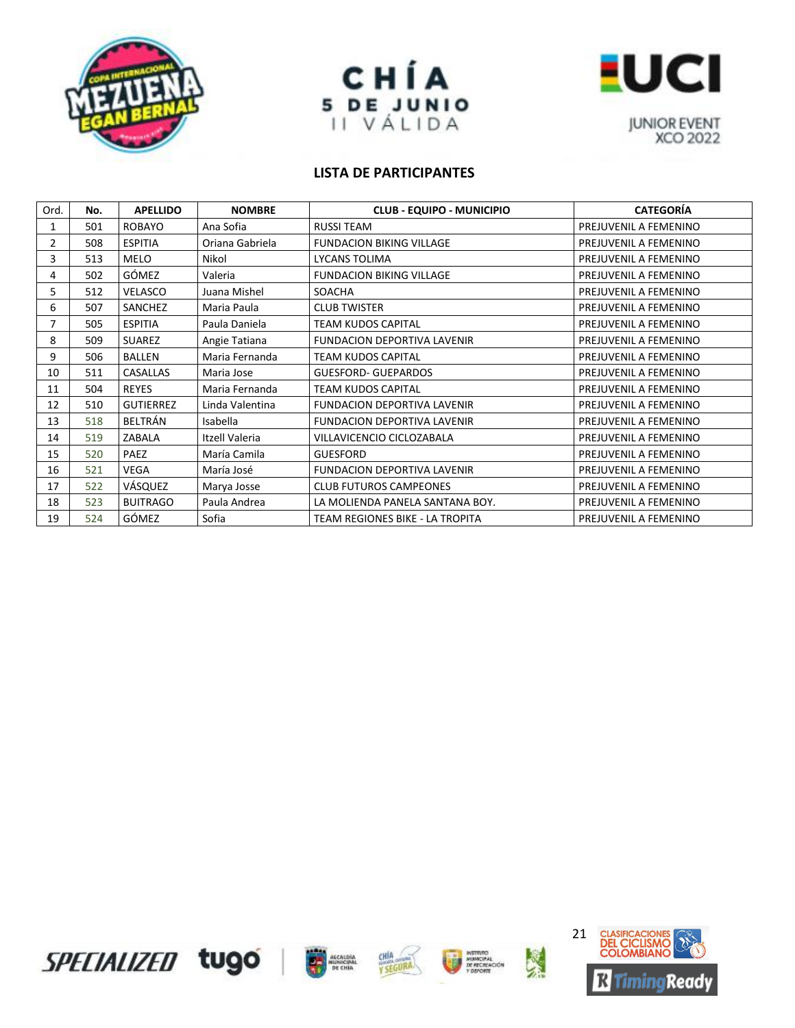





| Ord.         | No. | <b>APELLIDO</b>  | <b>NOMBRE</b>   | <b>CLUB - EQUIPO - MUNICIPIO</b>   | <b>CATEGORÍA</b>      |
|--------------|-----|------------------|-----------------|------------------------------------|-----------------------|
| 1            | 501 | <b>ROBAYO</b>    | Ana Sofia       | <b>RUSSI TEAM</b>                  | PREJUVENIL A FEMENINO |
| $\mathbf{2}$ | 508 | <b>ESPITIA</b>   | Oriana Gabriela | <b>FUNDACION BIKING VILLAGE</b>    | PREJUVENIL A FEMENINO |
| 3            | 513 | <b>MELO</b>      | Nikol           | LYCANS TOLIMA                      | PREJUVENIL A FEMENINO |
| 4            | 502 | GÓMEZ            | Valeria         | <b>FUNDACION BIKING VILLAGE</b>    | PREJUVENIL A FEMENINO |
| 5            | 512 | VELASCO          | Juana Mishel    | <b>SOACHA</b>                      | PREJUVENIL A FEMENINO |
| 6            | 507 | SANCHEZ          | Maria Paula     | <b>CLUB TWISTER</b>                | PREJUVENIL A FEMENINO |
| 7            | 505 | <b>ESPITIA</b>   | Paula Daniela   | <b>TEAM KUDOS CAPITAL</b>          | PREJUVENIL A FEMENINO |
| 8            | 509 | SUAREZ           | Angie Tatiana   | <b>FUNDACION DEPORTIVA LAVENIR</b> | PREJUVENIL A FEMENINO |
| 9            | 506 | <b>BALLEN</b>    | Maria Fernanda  | TEAM KUDOS CAPITAL                 | PREJUVENIL A FEMENINO |
| 10           | 511 | <b>CASALLAS</b>  | Maria Jose      | <b>GUESFORD- GUEPARDOS</b>         | PREJUVENIL A FEMENINO |
| 11           | 504 | <b>REYES</b>     | Maria Fernanda  | <b>TEAM KUDOS CAPITAL</b>          | PREJUVENIL A FEMENINO |
| 12           | 510 | <b>GUTIERREZ</b> | Linda Valentina | <b>FUNDACION DEPORTIVA LAVENIR</b> | PREJUVENIL A FEMENINO |
| 13           | 518 | BELTRÁN          | Isabella        | <b>FUNDACION DEPORTIVA LAVENIR</b> | PREJUVENIL A FEMENINO |
| 14           | 519 | ZABALA           | Itzell Valeria  | VILLAVICENCIO CICLOZABALA          | PREJUVENIL A FEMENINO |
| 15           | 520 | PAEZ             | María Camila    | <b>GUESFORD</b>                    | PREJUVENIL A FEMENINO |
| 16           | 521 | <b>VEGA</b>      | María José      | <b>FUNDACION DEPORTIVA LAVENIR</b> | PREJUVENIL A FEMENINO |
| 17           | 522 | VÁSQUEZ          | Marya Josse     | <b>CLUB FUTUROS CAMPEONES</b>      | PREJUVENIL A FEMENINO |
| 18           | 523 | <b>BUITRAGO</b>  | Paula Andrea    | LA MOLIENDA PANELA SANTANA BOY.    | PREJUVENIL A FEMENINO |
| 19           | 524 | GÓMEZ            | Sofia           | TEAM REGIONES BIKE - LA TROPITA    | PREJUVENIL A FEMENINO |









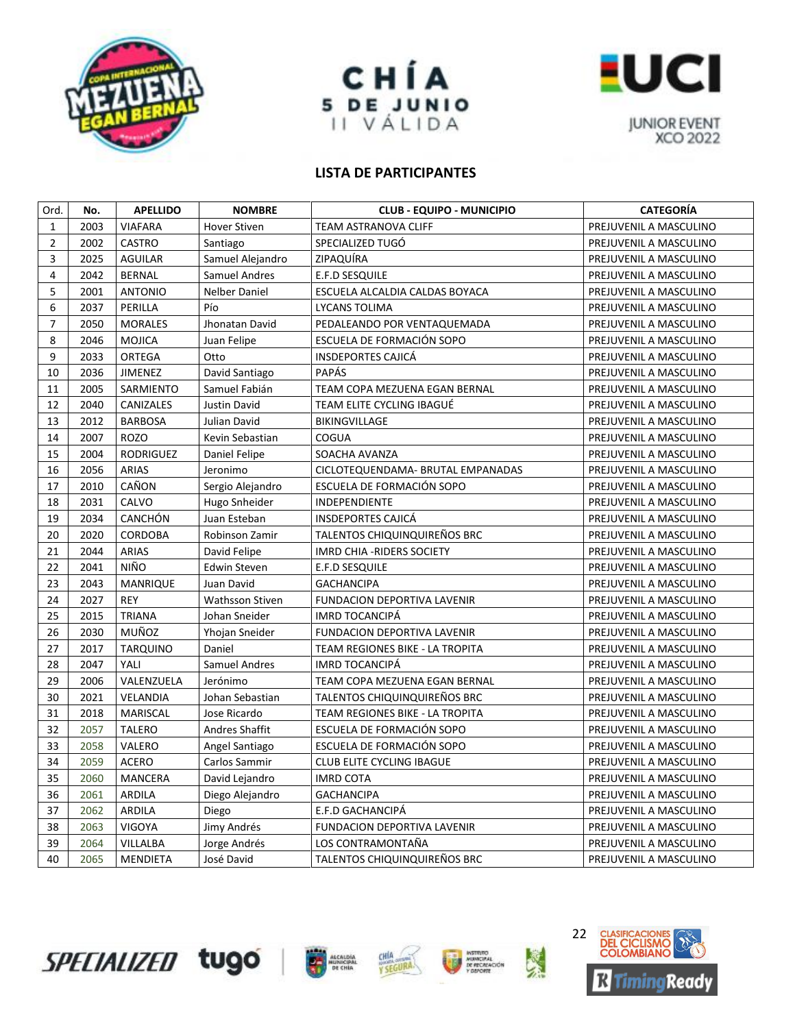





| Ord.           | No.  | <b>APELLIDO</b>  | <b>NOMBRE</b>          | <b>CLUB - EQUIPO - MUNICIPIO</b>   | <b>CATEGORÍA</b>       |
|----------------|------|------------------|------------------------|------------------------------------|------------------------|
| $\mathbf{1}$   | 2003 | <b>VIAFARA</b>   | <b>Hover Stiven</b>    | TEAM ASTRANOVA CLIFF               | PREJUVENIL A MASCULINO |
| $\overline{2}$ | 2002 | CASTRO           | Santiago               | SPECIALIZED TUGÓ                   | PREJUVENIL A MASCULINO |
| 3              | 2025 | AGUILAR          | Samuel Alejandro       | ZIPAQUIRA                          | PREJUVENIL A MASCULINO |
| $\overline{4}$ | 2042 | <b>BERNAL</b>    | <b>Samuel Andres</b>   | E.F.D SESQUILE                     | PREJUVENIL A MASCULINO |
| 5              | 2001 | <b>ANTONIO</b>   | <b>Nelber Daniel</b>   | ESCUELA ALCALDIA CALDAS BOYACA     | PREJUVENIL A MASCULINO |
| 6              | 2037 | PERILLA          | Pío                    | LYCANS TOLIMA                      | PREJUVENIL A MASCULINO |
| $\overline{7}$ | 2050 | <b>MORALES</b>   | Jhonatan David         | PEDALEANDO POR VENTAQUEMADA        | PREJUVENIL A MASCULINO |
| 8              | 2046 | <b>MOJICA</b>    | Juan Felipe            | ESCUELA DE FORMACIÓN SOPO          | PREJUVENIL A MASCULINO |
| 9              | 2033 | ORTEGA           | Otto                   | <b>INSDEPORTES CAJICÁ</b>          | PREJUVENIL A MASCULINO |
| 10             | 2036 | <b>JIMENEZ</b>   | David Santiago         | <b>PAPÁS</b>                       | PREJUVENIL A MASCULINO |
| 11             | 2005 | SARMIENTO        | Samuel Fabián          | TEAM COPA MEZUENA EGAN BERNAL      | PREJUVENIL A MASCULINO |
| 12             | 2040 | CANIZALES        | Justin David           | TEAM ELITE CYCLING IBAGUÉ          | PREJUVENIL A MASCULINO |
| 13             | 2012 | BARBOSA          | Julian David           | BIKINGVILLAGE                      | PREJUVENIL A MASCULINO |
| 14             | 2007 | <b>ROZO</b>      | Kevin Sebastian        | COGUA                              | PREJUVENIL A MASCULINO |
| 15             | 2004 | <b>RODRIGUEZ</b> | Daniel Felipe          | SOACHA AVANZA                      | PREJUVENIL A MASCULINO |
| 16             | 2056 | <b>ARIAS</b>     | Jeronimo               | CICLOTEQUENDAMA- BRUTAL EMPANADAS  | PREJUVENIL A MASCULINO |
| 17             | 2010 | CAÑON            | Sergio Alejandro       | ESCUELA DE FORMACIÓN SOPO          | PREJUVENIL A MASCULINO |
| 18             | 2031 | CALVO            | Hugo Snheider          | INDEPENDIENTE                      | PREJUVENIL A MASCULINO |
| 19             | 2034 | <b>CANCHÓN</b>   | Juan Esteban           | <b>INSDEPORTES CAJICÁ</b>          | PREJUVENIL A MASCULINO |
| 20             | 2020 | <b>CORDOBA</b>   | Robinson Zamir         | TALENTOS CHIQUINQUIREÑOS BRC       | PREJUVENIL A MASCULINO |
| 21             | 2044 | ARIAS            | David Felipe           | IMRD CHIA - RIDERS SOCIETY         | PREJUVENIL A MASCULINO |
| 22             | 2041 | NIÑO             | Edwin Steven           | E.F.D SESQUILE                     | PREJUVENIL A MASCULINO |
| 23             | 2043 | <b>MANRIQUE</b>  | Juan David             | <b>GACHANCIPA</b>                  | PREJUVENIL A MASCULINO |
| 24             | 2027 | <b>REY</b>       | <b>Wathsson Stiven</b> | FUNDACION DEPORTIVA LAVENIR        | PREJUVENIL A MASCULINO |
| 25             | 2015 | <b>TRIANA</b>    | Johan Sneider          | <b>IMRD TOCANCIPÁ</b>              | PREJUVENIL A MASCULINO |
| 26             | 2030 | MUÑOZ            | Yhojan Sneider         | <b>FUNDACION DEPORTIVA LAVENIR</b> | PREJUVENIL A MASCULINO |
| 27             | 2017 | <b>TARQUINO</b>  | Daniel                 | TEAM REGIONES BIKE - LA TROPITA    | PREJUVENIL A MASCULINO |
| 28             | 2047 | YALI             | Samuel Andres          | <b>IMRD TOCANCIPÁ</b>              | PREJUVENIL A MASCULINO |
| 29             | 2006 | VALENZUELA       | Jerónimo               | TEAM COPA MEZUENA EGAN BERNAL      | PREJUVENIL A MASCULINO |
| 30             | 2021 | VELANDIA         | Johan Sebastian        | TALENTOS CHIQUINQUIREÑOS BRC       | PREJUVENIL A MASCULINO |
| 31             | 2018 | MARISCAL         | Jose Ricardo           | TEAM REGIONES BIKE - LA TROPITA    | PREJUVENIL A MASCULINO |
| 32             | 2057 | <b>TALERO</b>    | Andres Shaffit         | ESCUELA DE FORMACIÓN SOPO          | PREJUVENIL A MASCULINO |
| 33             | 2058 | VALERO           | Angel Santiago         | ESCUELA DE FORMACIÓN SOPO          | PREJUVENIL A MASCULINO |
| 34             | 2059 | <b>ACERO</b>     | Carlos Sammir          | <b>CLUB ELITE CYCLING IBAGUE</b>   | PREJUVENIL A MASCULINO |
| 35             | 2060 | MANCERA          | David Lejandro         | <b>IMRD COTA</b>                   | PREJUVENIL A MASCULINO |
| 36             | 2061 | ARDILA           | Diego Alejandro        | <b>GACHANCIPA</b>                  | PREJUVENIL A MASCULINO |
| 37             | 2062 | ARDILA           | Diego                  | E.F.D GACHANCIPÁ                   | PREJUVENIL A MASCULINO |
| 38             | 2063 | <b>VIGOYA</b>    | Jimy Andrés            | <b>FUNDACION DEPORTIVA LAVENIR</b> | PREJUVENIL A MASCULINO |
| 39             | 2064 | VILLALBA         | Jorge Andrés           | LOS CONTRAMONTAÑA                  | PREJUVENIL A MASCULINO |
| 40             | 2065 | <b>MENDIETA</b>  | José David             | TALENTOS CHIQUINQUIREÑOS BRC       | PREJUVENIL A MASCULINO |









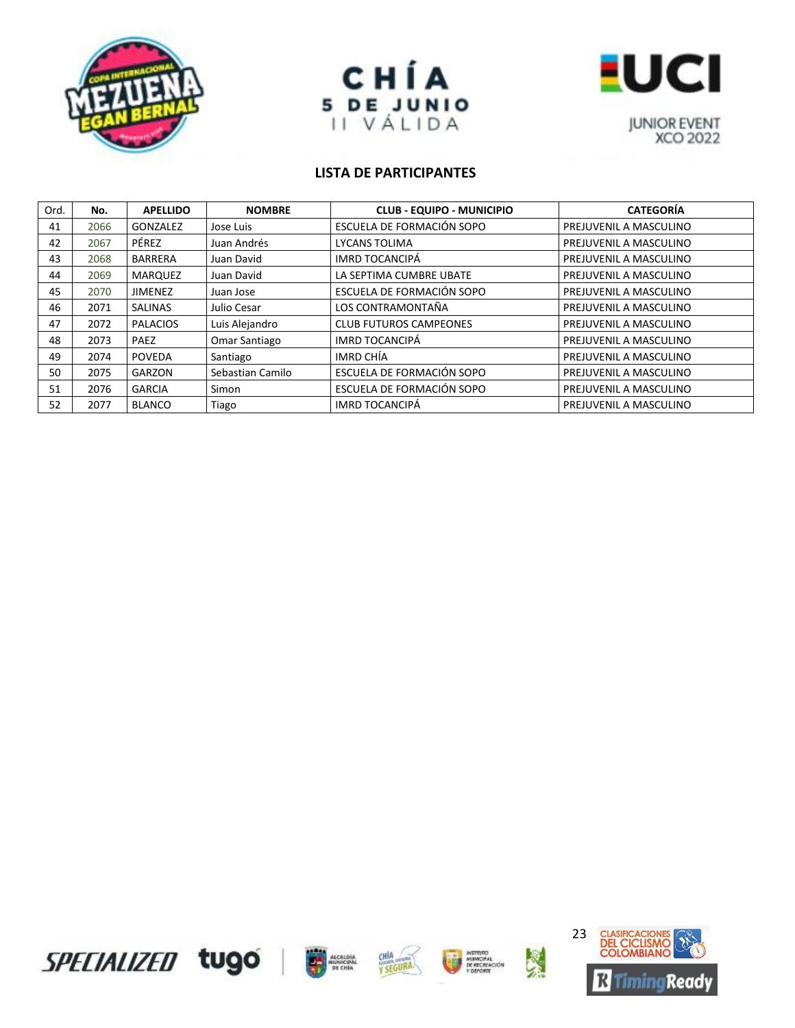





| Ord. | No.  | <b>APELLIDO</b> | <b>NOMBRE</b>    | <b>CLUB - EQUIPO - MUNICIPIO</b> | <b>CATEGORÍA</b>       |
|------|------|-----------------|------------------|----------------------------------|------------------------|
| 41   | 2066 | GONZALEZ        | Jose Luis        | ESCUELA DE FORMACIÓN SOPO        | PREJUVENIL A MASCULINO |
| 42   | 2067 | PÉREZ           | Juan Andrés      | <b>LYCANS TOLIMA</b>             | PREJUVENIL A MASCULINO |
| 43   | 2068 | BARRERA         | Juan David       | IMRD TOCANCIPÁ                   | PREJUVENIL A MASCULINO |
| 44   | 2069 | <b>MARQUEZ</b>  | Juan David       | LA SEPTIMA CUMBRE UBATE          | PREJUVENIL A MASCULINO |
| 45   | 2070 | <b>JIMENEZ</b>  | Juan Jose        | ESCUELA DE FORMACIÓN SOPO        | PREJUVENIL A MASCULINO |
| 46   | 2071 | SALINAS         | Julio Cesar      | LOS CONTRAMONTAÑA                | PREJUVENIL A MASCULINO |
| 47   | 2072 | <b>PALACIOS</b> | Luis Alejandro   | <b>CLUB FUTUROS CAMPEONES</b>    | PREJUVENIL A MASCULINO |
| 48   | 2073 | PAEZ            | Omar Santiago    | IMRD TOCANCIPÁ                   | PREJUVENIL A MASCULINO |
| 49   | 2074 | <b>POVEDA</b>   | Santiago         | IMRD CHÍA                        | PREJUVENIL A MASCULINO |
| 50   | 2075 | GARZON          | Sebastian Camilo | ESCUELA DE FORMACIÓN SOPO        | PREJUVENIL A MASCULINO |
| 51   | 2076 | <b>GARCIA</b>   | Simon            | ESCUELA DE FORMACIÓN SOPO        | PREJUVENIL A MASCULINO |
| 52   | 2077 | <b>BLANCO</b>   | Tiago            | <b>IMRD TOCANCIPÁ</b>            | PREJUVENIL A MASCULINO |









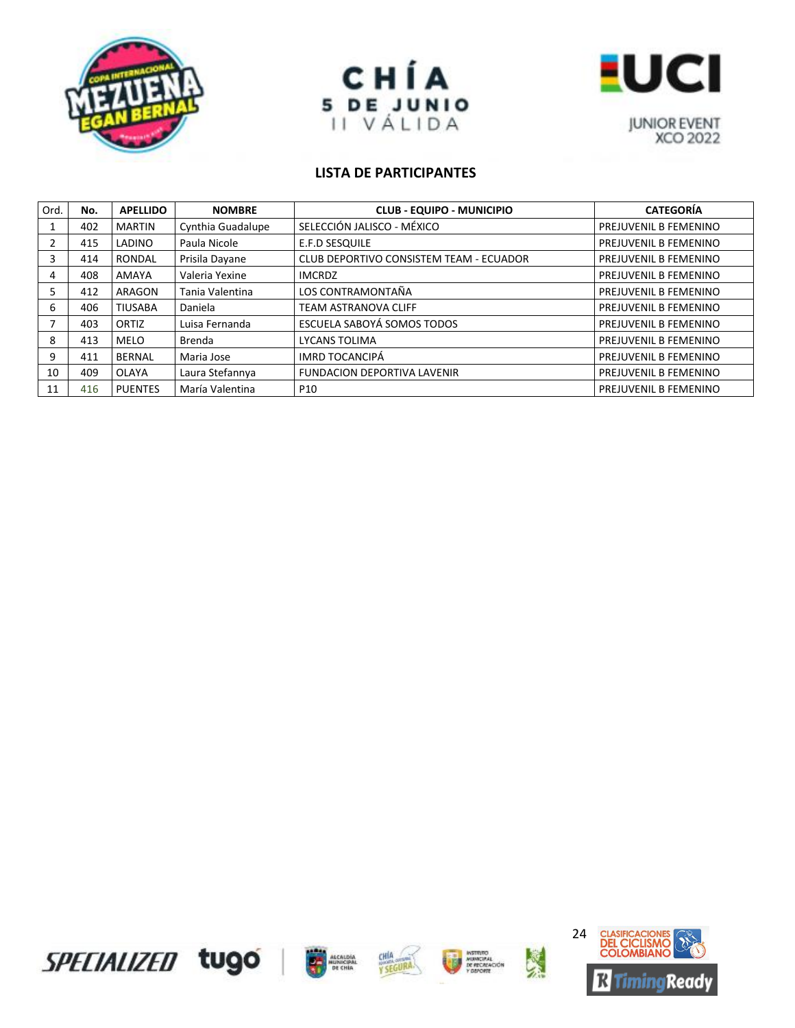





| Ord. | No. | <b>APELLIDO</b> | <b>NOMBRE</b>     | <b>CLUB - EQUIPO - MUNICIPIO</b>               | <b>CATEGORÍA</b>      |
|------|-----|-----------------|-------------------|------------------------------------------------|-----------------------|
|      | 402 | <b>MARTIN</b>   | Cynthia Guadalupe | SELECCIÓN JALISCO - MÉXICO                     | PREJUVENIL B FEMENINO |
|      | 415 | LADINO          | Paula Nicole      | <b>E.F.D SESQUILE</b>                          | PREJUVENIL B FEMENINO |
|      | 414 | RONDAL          | Prisila Dayane    | <b>CLUB DEPORTIVO CONSISTEM TEAM - ECUADOR</b> | PREJUVENIL B FEMENINO |
| 4    | 408 | AMAYA           | Valeria Yexine    | <b>IMCRDZ</b>                                  | PREJUVENIL B FEMENINO |
|      | 412 | <b>ARAGON</b>   | Tania Valentina   | LOS CONTRAMONTAÑA                              | PREJUVENIL B FEMENINO |
| 6    | 406 | <b>TIUSABA</b>  | Daniela           | <b>TEAM ASTRANOVA CLIFF</b>                    | PREJUVENIL B FEMENINO |
|      | 403 | ORTIZ           | Luisa Fernanda    | ESCUELA SABOYÁ SOMOS TODOS                     | PREJUVENIL B FEMENINO |
| 8    | 413 | MELO            | Brenda            | <b>LYCANS TOLIMA</b>                           | PREJUVENIL B FEMENINO |
| q    | 411 | BERNAL          | Maria Jose        | <b>IMRD TOCANCIPÁ</b>                          | PREJUVENIL B FEMENINO |
| 10   | 409 | OLAYA           | Laura Stefannya   | <b>FUNDACION DEPORTIVA LAVENIR</b>             | PREJUVENIL B FEMENINO |
| 11   | 416 | <b>PUENTES</b>  | María Valentina   | P <sub>10</sub>                                | PREJUVENIL B FEMENINO |









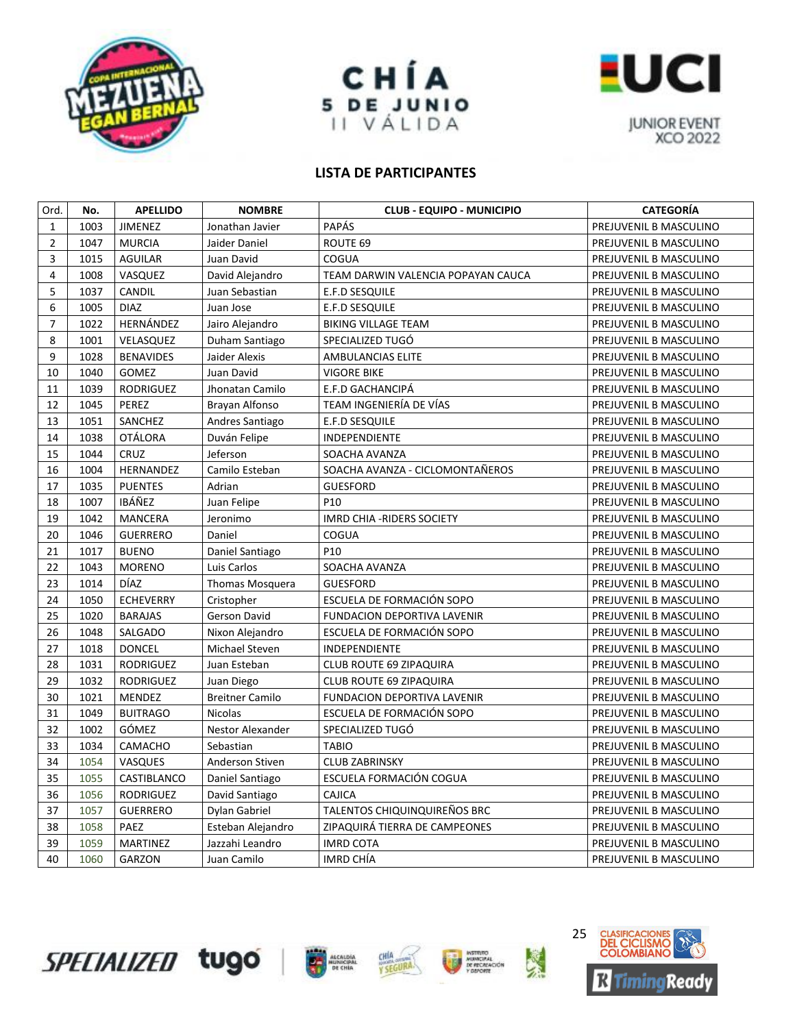





| Ord.           | No.  | <b>APELLIDO</b>  | <b>NOMBRE</b>          | <b>CLUB - EQUIPO - MUNICIPIO</b>   | <b>CATEGORÍA</b>       |
|----------------|------|------------------|------------------------|------------------------------------|------------------------|
| $\mathbf{1}$   | 1003 | JIMENEZ          | Jonathan Javier        | PAPÁS                              | PREJUVENIL B MASCULINO |
| $\overline{2}$ | 1047 | <b>MURCIA</b>    | Jaider Daniel          | ROUTE 69                           | PREJUVENIL B MASCULINO |
| 3              | 1015 | <b>AGUILAR</b>   | Juan David             | COGUA                              | PREJUVENIL B MASCULINO |
| 4              | 1008 | VASQUEZ          | David Alejandro        | TEAM DARWIN VALENCIA POPAYAN CAUCA | PREJUVENIL B MASCULINO |
| 5              | 1037 | <b>CANDIL</b>    | Juan Sebastian         | <b>E.F.D SESQUILE</b>              | PREJUVENIL B MASCULINO |
| 6              | 1005 | <b>DIAZ</b>      | Juan Jose              | E.F.D SESQUILE                     | PREJUVENIL B MASCULINO |
| $\overline{7}$ | 1022 | HERNÁNDEZ        | Jairo Alejandro        | <b>BIKING VILLAGE TEAM</b>         | PREJUVENIL B MASCULINO |
| 8              | 1001 | VELASQUEZ        | Duham Santiago         | SPECIALIZED TUGÓ                   | PREJUVENIL B MASCULINO |
| 9              | 1028 | <b>BENAVIDES</b> | Jaider Alexis          | AMBULANCIAS ELITE                  | PREJUVENIL B MASCULINO |
| 10             | 1040 | GOMEZ            | Juan David             | <b>VIGORE BIKE</b>                 | PREJUVENIL B MASCULINO |
| 11             | 1039 | <b>RODRIGUEZ</b> | Jhonatan Camilo        | E.F.D GACHANCIPÁ                   | PREJUVENIL B MASCULINO |
| 12             | 1045 | PEREZ            | Brayan Alfonso         | TEAM INGENIERÍA DE VÍAS            | PREJUVENIL B MASCULINO |
| 13             | 1051 | SANCHEZ          | Andres Santiago        | E.F.D SESQUILE                     | PREJUVENIL B MASCULINO |
| 14             | 1038 | <b>OTÁLORA</b>   | Duván Felipe           | INDEPENDIENTE                      | PREJUVENIL B MASCULINO |
| 15             | 1044 | <b>CRUZ</b>      | Jeferson               | SOACHA AVANZA                      | PREJUVENIL B MASCULINO |
| 16             | 1004 | HERNANDEZ        | Camilo Esteban         | SOACHA AVANZA - CICLOMONTAÑEROS    | PREJUVENIL B MASCULINO |
| 17             | 1035 | <b>PUENTES</b>   | Adrian                 | <b>GUESFORD</b>                    | PREJUVENIL B MASCULINO |
| 18             | 1007 | IBÁÑEZ           | Juan Felipe            | P <sub>10</sub>                    | PREJUVENIL B MASCULINO |
| 19             | 1042 | <b>MANCERA</b>   | Jeronimo               | IMRD CHIA - RIDERS SOCIETY         | PREJUVENIL B MASCULINO |
| 20             | 1046 | <b>GUERRERO</b>  | Daniel                 | COGUA                              | PREJUVENIL B MASCULINO |
| 21             | 1017 | <b>BUENO</b>     | Daniel Santiago        | P <sub>10</sub>                    | PREJUVENIL B MASCULINO |
| 22             | 1043 | <b>MORENO</b>    | Luis Carlos            | SOACHA AVANZA                      | PREJUVENIL B MASCULINO |
| 23             | 1014 | DÍAZ             | <b>Thomas Mosquera</b> | <b>GUESFORD</b>                    | PREJUVENIL B MASCULINO |
| 24             | 1050 | <b>ECHEVERRY</b> | Cristopher             | ESCUELA DE FORMACIÓN SOPO          | PREJUVENIL B MASCULINO |
| 25             | 1020 | <b>BARAJAS</b>   | Gerson David           | <b>FUNDACION DEPORTIVA LAVENIR</b> | PREJUVENIL B MASCULINO |
| 26             | 1048 | SALGADO          | Nixon Alejandro        | ESCUELA DE FORMACIÓN SOPO          | PREJUVENIL B MASCULINO |
| 27             | 1018 | <b>DONCEL</b>    | Michael Steven         | INDEPENDIENTE                      | PREJUVENIL B MASCULINO |
| 28             | 1031 | <b>RODRIGUEZ</b> | Juan Esteban           | CLUB ROUTE 69 ZIPAQUIRA            | PREJUVENIL B MASCULINO |
| 29             | 1032 | <b>RODRIGUEZ</b> | Juan Diego             | <b>CLUB ROUTE 69 ZIPAQUIRA</b>     | PREJUVENIL B MASCULINO |
| 30             | 1021 | <b>MENDEZ</b>    | <b>Breitner Camilo</b> | FUNDACION DEPORTIVA LAVENIR        | PREJUVENIL B MASCULINO |
| 31             | 1049 | <b>BUITRAGO</b>  | Nicolas                | ESCUELA DE FORMACIÓN SOPO          | PREJUVENIL B MASCULINO |
| 32             | 1002 | GÓMEZ            | Nestor Alexander       | SPECIALIZED TUGO                   | PREJUVENIL B MASCULINO |
| 33             | 1034 | CAMACHO          | Sebastian              | <b>TABIO</b>                       | PREJUVENIL B MASCULINO |
| 34             | 1054 | <b>VASQUES</b>   | Anderson Stiven        | <b>CLUB ZABRINSKY</b>              | PREJUVENIL B MASCULINO |
| 35             | 1055 | CASTIBLANCO      | Daniel Santiago        | ESCUELA FORMACIÓN COGUA            | PREJUVENIL B MASCULINO |
| 36             | 1056 | <b>RODRIGUEZ</b> | David Santiago         | <b>CAJICA</b>                      | PREJUVENIL B MASCULINO |
| 37             | 1057 | <b>GUERRERO</b>  | Dylan Gabriel          | TALENTOS CHIQUINQUIREÑOS BRC       | PREJUVENIL B MASCULINO |
| 38             | 1058 | PAEZ             | Esteban Alejandro      | ZIPAQUIRA TIERRA DE CAMPEONES      | PREJUVENIL B MASCULINO |
| 39             | 1059 | <b>MARTINEZ</b>  | Jazzahi Leandro        | <b>IMRD COTA</b>                   | PREJUVENIL B MASCULINO |
| 40             | 1060 | GARZON           | Juan Camilo            | IMRD CHÍA                          | PREJUVENIL B MASCULINO |







**NETRITO**<br>DE RECALACIÓN

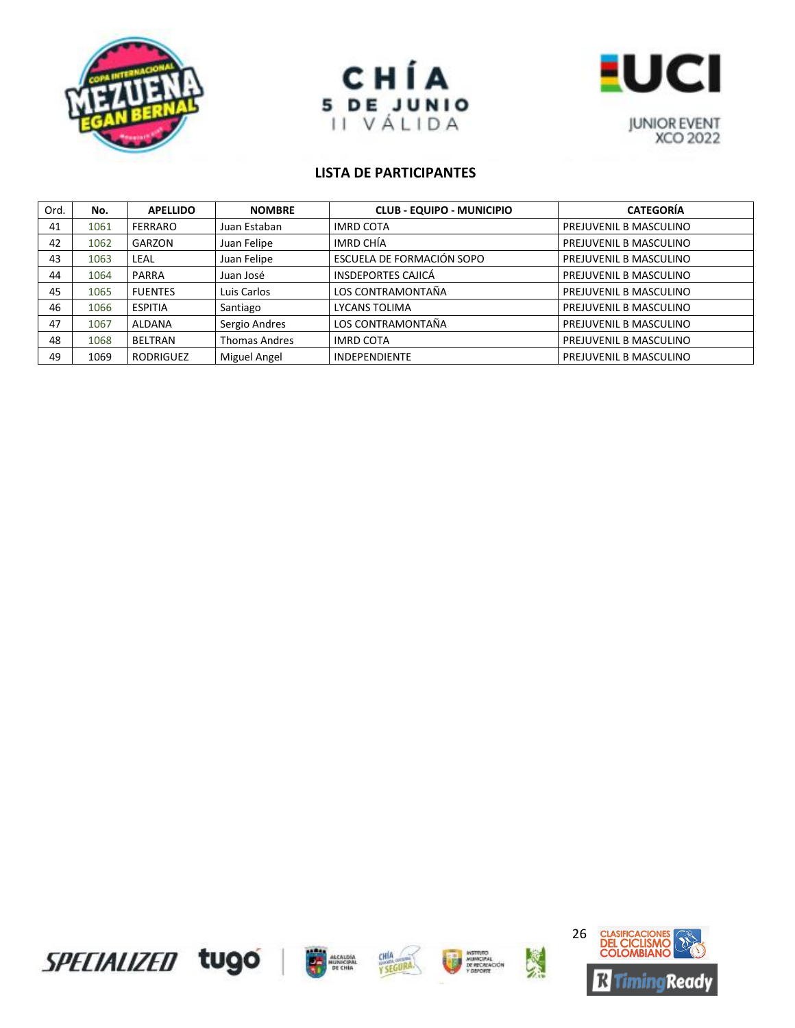





| Ord. | No.  | <b>APELLIDO</b>  | <b>NOMBRE</b>        | <b>CLUB - EQUIPO - MUNICIPIO</b> | <b>CATEGORÍA</b>       |
|------|------|------------------|----------------------|----------------------------------|------------------------|
| 41   | 1061 | <b>FERRARO</b>   | Juan Estaban         | <b>IMRD COTA</b>                 | PREJUVENIL B MASCULINO |
| 42   | 1062 | GARZON           | Juan Felipe          | IMRD CHÍA                        | PREJUVENIL B MASCULINO |
| 43   | 1063 | LEAL             | Juan Felipe          | ESCUELA DE FORMACIÓN SOPO        | PREJUVENIL B MASCULINO |
| 44   | 1064 | PARRA            | Juan José            | <b>INSDEPORTES CAJICÁ</b>        | PREJUVENIL B MASCULINO |
| 45   | 1065 | <b>FUENTES</b>   | Luis Carlos          | LOS CONTRAMONTAÑA                | PREJUVENIL B MASCULINO |
| 46   | 1066 | <b>ESPITIA</b>   | Santiago             | LYCANS TOLIMA                    | PREJUVENIL B MASCULINO |
| 47   | 1067 | <b>ALDANA</b>    | Sergio Andres        | LOS CONTRAMONTAÑA                | PREJUVENIL B MASCULINO |
| 48   | 1068 | <b>BELTRAN</b>   | <b>Thomas Andres</b> | <b>IMRD COTA</b>                 | PREJUVENIL B MASCULINO |
| 49   | 1069 | <b>RODRIGUEZ</b> | Miguel Angel         | <b>INDEPENDIENTE</b>             | PREJUVENIL B MASCULINO |









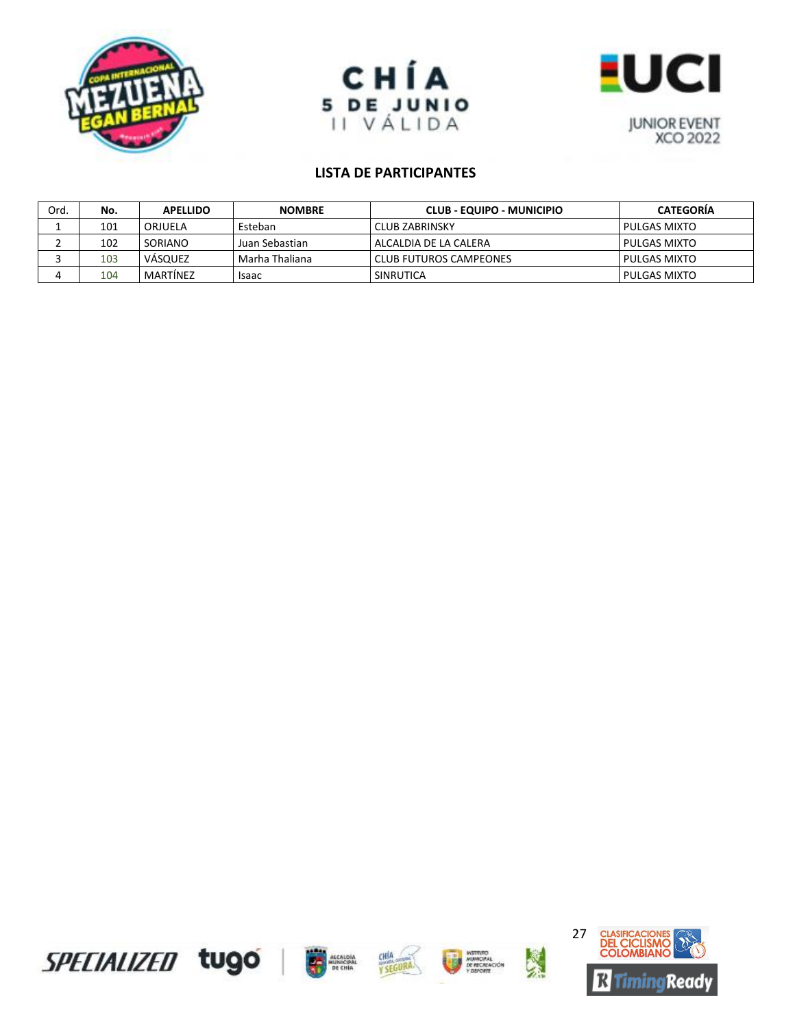





| Ord. | No. | <b>APELLIDO</b> | <b>NOMBRE</b>  | CLUB - EQUIPO - MUNICIPIO     | <b>CATEGORIA</b> |
|------|-----|-----------------|----------------|-------------------------------|------------------|
|      | 101 | ORJUELA         | Esteban        | CLUB ZABRINSKY                | PULGAS MIXTO     |
|      | 102 | SORIANO         | Juan Sebastian | ALCALDIA DE LA CALERA         | PULGAS MIXTO     |
|      | 103 | VÁSQUEZ         | Marha Thaliana | <b>CLUB FUTUROS CAMPEONES</b> | PULGAS MIXTO     |
|      | 104 | MARTINEZ        | <b>Isaac</b>   | SINRUTICA                     | PULGAS MIXTO     |

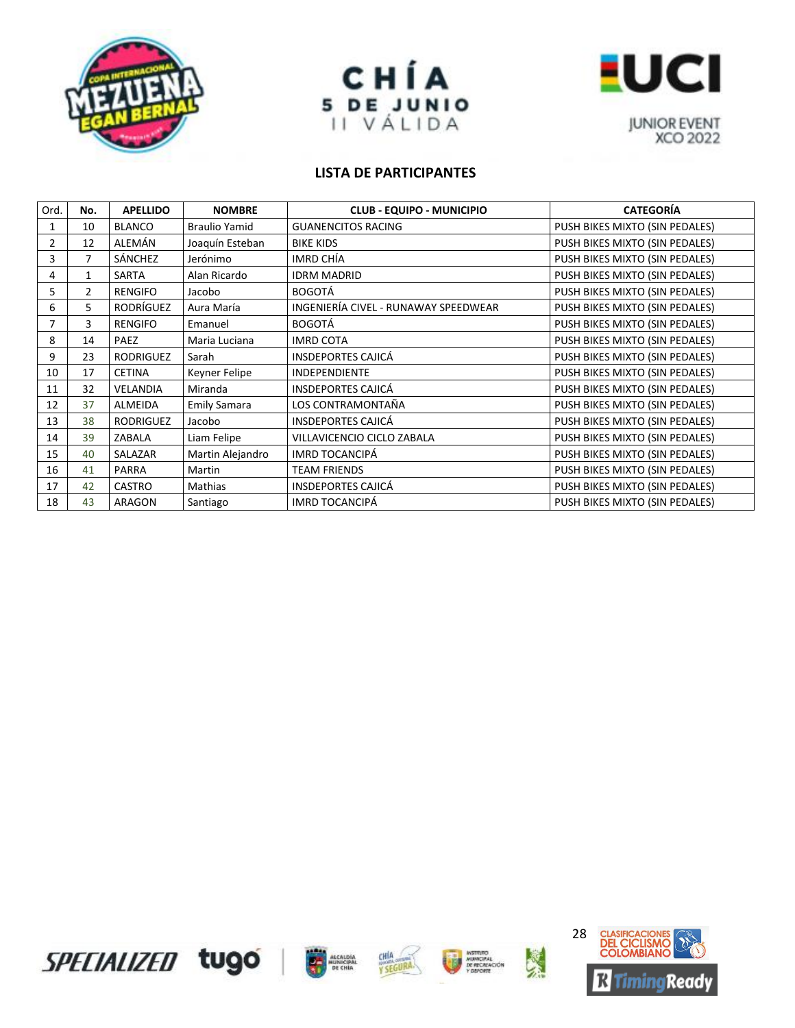





| Ord.           | No.            | <b>APELLIDO</b>  | <b>NOMBRE</b>        | <b>CLUB - EQUIPO - MUNICIPIO</b>     | <b>CATEGORÍA</b>               |
|----------------|----------------|------------------|----------------------|--------------------------------------|--------------------------------|
| 1              | 10             | <b>BLANCO</b>    | <b>Braulio Yamid</b> | <b>GUANENCITOS RACING</b>            | PUSH BIKES MIXTO (SIN PEDALES) |
| $\overline{2}$ | 12             | ALEMÁN           | Joaquín Esteban      | <b>BIKE KIDS</b>                     | PUSH BIKES MIXTO (SIN PEDALES) |
| 3              | 7              | SÁNCHEZ          | Jerónimo             | IMRD CHÍA                            | PUSH BIKES MIXTO (SIN PEDALES) |
| 4              | 1              | SARTA            | Alan Ricardo         | <b>IDRM MADRID</b>                   | PUSH BIKES MIXTO (SIN PEDALES) |
| 5              | $\overline{2}$ | <b>RENGIFO</b>   | Jacobo               | <b>BOGOTÁ</b>                        | PUSH BIKES MIXTO (SIN PEDALES) |
| 6              | 5              | <b>RODRÍGUEZ</b> | Aura María           | INGENIERÍA CIVEL - RUNAWAY SPEEDWEAR | PUSH BIKES MIXTO (SIN PEDALES) |
| 7              | 3              | <b>RENGIFO</b>   | Emanuel              | <b>BOGOTÁ</b>                        | PUSH BIKES MIXTO (SIN PEDALES) |
| 8              | 14             | PAEZ             | Maria Luciana        | <b>IMRD COTA</b>                     | PUSH BIKES MIXTO (SIN PEDALES) |
| 9              | 23             | <b>RODRIGUEZ</b> | Sarah                | <b>INSDEPORTES CAJICÁ</b>            | PUSH BIKES MIXTO (SIN PEDALES) |
| 10             | 17             | <b>CETINA</b>    | Keyner Felipe        | <b>INDEPENDIENTE</b>                 | PUSH BIKES MIXTO (SIN PEDALES) |
| 11             | 32             | <b>VELANDIA</b>  | Miranda              | <b>INSDEPORTES CAJICÁ</b>            | PUSH BIKES MIXTO (SIN PEDALES) |
| 12             | 37             | <b>ALMEIDA</b>   | <b>Emily Samara</b>  | LOS CONTRAMONTAÑA                    | PUSH BIKES MIXTO (SIN PEDALES) |
| 13             | 38             | <b>RODRIGUEZ</b> | Jacobo               | <b>INSDEPORTES CAJICÁ</b>            | PUSH BIKES MIXTO (SIN PEDALES) |
| 14             | 39             | ZABALA           | Liam Felipe          | VILLAVICENCIO CICLO ZABALA           | PUSH BIKES MIXTO (SIN PEDALES) |
| 15             | 40             | SALAZAR          | Martin Alejandro     | <b>IMRD TOCANCIPÁ</b>                | PUSH BIKES MIXTO (SIN PEDALES) |
| 16             | 41             | <b>PARRA</b>     | Martin               | <b>TEAM FRIENDS</b>                  | PUSH BIKES MIXTO (SIN PEDALES) |
| 17             | 42             | <b>CASTRO</b>    | Mathias              | <b>INSDEPORTES CAJICÁ</b>            | PUSH BIKES MIXTO (SIN PEDALES) |
| 18             | 43             | ARAGON           | Santiago             | IMRD TOCANCIPÁ                       | PUSH BIKES MIXTO (SIN PEDALES) |









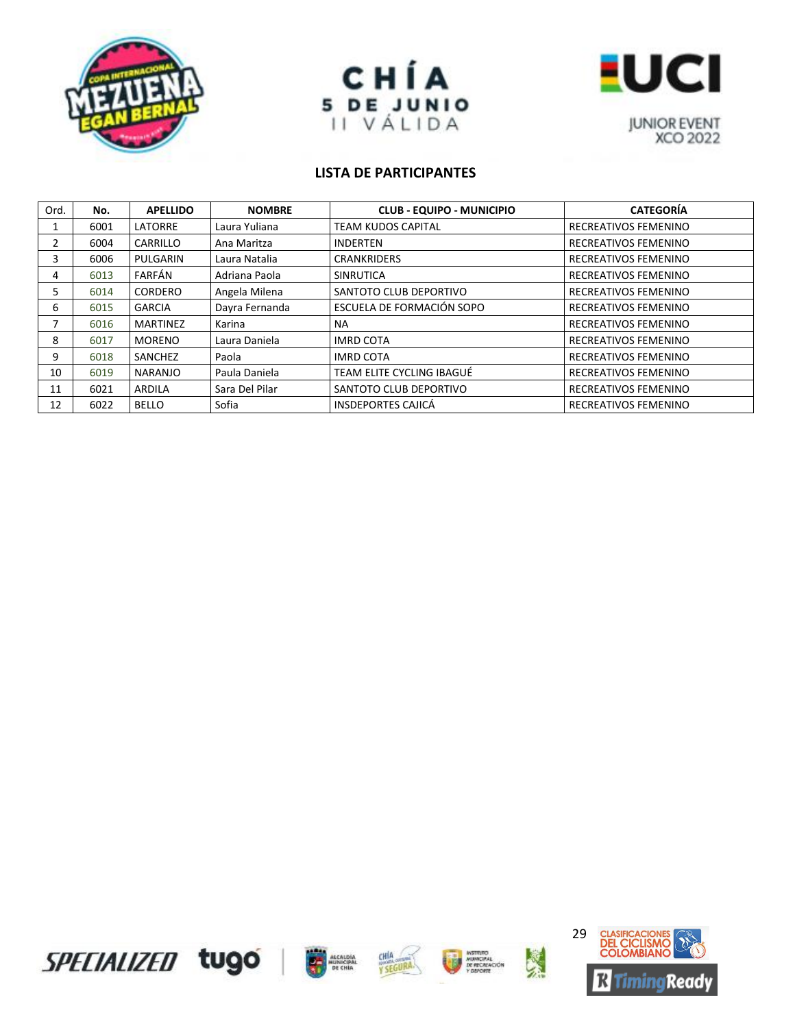





| Ord. | No.  | <b>APELLIDO</b> | <b>NOMBRE</b>  | <b>CLUB - EQUIPO - MUNICIPIO</b> | <b>CATEGORÍA</b>     |
|------|------|-----------------|----------------|----------------------------------|----------------------|
|      | 6001 | LATORRE         | Laura Yuliana  | <b>TEAM KUDOS CAPITAL</b>        | RECREATIVOS FEMENINO |
| 2    | 6004 | CARRILLO        | Ana Maritza    | <b>INDERTEN</b>                  | RECREATIVOS FEMENINO |
| 3.   | 6006 | PULGARIN        | Laura Natalia  | <b>CRANKRIDERS</b>               | RECREATIVOS FEMENINO |
| 4    | 6013 | FARFÁN          | Adriana Paola  | <b>SINRUTICA</b>                 | RECREATIVOS FEMENINO |
| 5.   | 6014 | <b>CORDERO</b>  | Angela Milena  | SANTOTO CLUB DEPORTIVO           | RECREATIVOS FEMENINO |
| 6    | 6015 | <b>GARCIA</b>   | Dayra Fernanda | ESCUELA DE FORMACIÓN SOPO        | RECREATIVOS FEMENINO |
|      | 6016 | MARTINEZ        | Karina         | NA                               | RECREATIVOS FEMENINO |
| 8    | 6017 | <b>MORENO</b>   | Laura Daniela  | <b>IMRD COTA</b>                 | RECREATIVOS FEMENINO |
| 9    | 6018 | SANCHEZ         | Paola          | <b>IMRD COTA</b>                 | RECREATIVOS FEMENINO |
| 10   | 6019 | <b>NARANJO</b>  | Paula Daniela  | TEAM ELITE CYCLING IBAGUÉ        | RECREATIVOS FEMENINO |
| 11   | 6021 | ARDILA          | Sara Del Pilar | SANTOTO CLUB DEPORTIVO           | RECREATIVOS FEMENINO |
| 12   | 6022 | <b>BELLO</b>    | Sofia          | <b>INSDEPORTES CAJICÁ</b>        | RECREATIVOS FEMENINO |









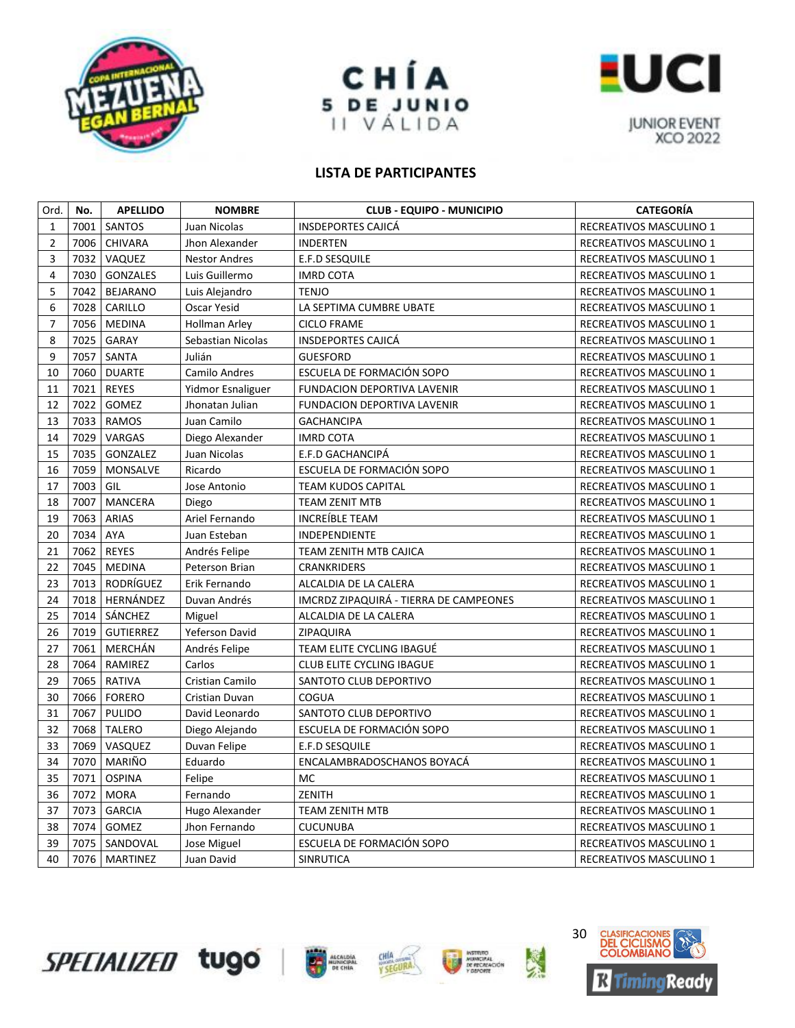





| Ord.           | No.  | <b>APELLIDO</b>  | <b>NOMBRE</b>         | <b>CLUB - EQUIPO - MUNICIPIO</b>       | <b>CATEGORÍA</b>        |
|----------------|------|------------------|-----------------------|----------------------------------------|-------------------------|
| $\mathbf{1}$   | 7001 | SANTOS           | Juan Nicolas          | <b>INSDEPORTES CAJICÁ</b>              | RECREATIVOS MASCULINO 1 |
| $\overline{2}$ | 7006 | <b>CHIVARA</b>   | Jhon Alexander        | <b>INDERTEN</b>                        | RECREATIVOS MASCULINO 1 |
| 3              | 7032 | VAQUEZ           | <b>Nestor Andres</b>  | E.F.D SESQUILE                         | RECREATIVOS MASCULINO 1 |
| $\overline{4}$ | 7030 | <b>GONZALES</b>  | Luis Guillermo        | <b>IMRD COTA</b>                       | RECREATIVOS MASCULINO 1 |
| 5              | 7042 | <b>BEJARANO</b>  | Luis Alejandro        | <b>TENJO</b>                           | RECREATIVOS MASCULINO 1 |
| 6              | 7028 | CARILLO          | Oscar Yesid           | LA SEPTIMA CUMBRE UBATE                | RECREATIVOS MASCULINO 1 |
| $\overline{7}$ | 7056 | <b>MEDINA</b>    | <b>Hollman Arley</b>  | <b>CICLO FRAME</b>                     | RECREATIVOS MASCULINO 1 |
| 8              | 7025 | GARAY            | Sebastian Nicolas     | <b>INSDEPORTES CAJICÁ</b>              | RECREATIVOS MASCULINO 1 |
| 9              | 7057 | SANTA            | Julián                | <b>GUESFORD</b>                        | RECREATIVOS MASCULINO 1 |
| 10             | 7060 | <b>DUARTE</b>    | Camilo Andres         | ESCUELA DE FORMACIÓN SOPO              | RECREATIVOS MASCULINO 1 |
| 11             | 7021 | <b>REYES</b>     | Yidmor Esnaliguer     | FUNDACION DEPORTIVA LAVENIR            | RECREATIVOS MASCULINO 1 |
| 12             | 7022 | GOMEZ            | Jhonatan Julian       | FUNDACION DEPORTIVA LAVENIR            | RECREATIVOS MASCULINO 1 |
| 13             | 7033 | <b>RAMOS</b>     | Juan Camilo           | <b>GACHANCIPA</b>                      | RECREATIVOS MASCULINO 1 |
| 14             | 7029 | VARGAS           | Diego Alexander       | <b>IMRD COTA</b>                       | RECREATIVOS MASCULINO 1 |
| 15             | 7035 | GONZALEZ         | Juan Nicolas          | E.F.D GACHANCIPÁ                       | RECREATIVOS MASCULINO 1 |
| 16             | 7059 | MONSALVE         | Ricardo               | ESCUELA DE FORMACIÓN SOPO              | RECREATIVOS MASCULINO 1 |
| 17             | 7003 | GIL              | Jose Antonio          | <b>TEAM KUDOS CAPITAL</b>              | RECREATIVOS MASCULINO 1 |
| 18             | 7007 | <b>MANCERA</b>   | Diego                 | <b>TEAM ZENIT MTB</b>                  | RECREATIVOS MASCULINO 1 |
| 19             | 7063 | <b>ARIAS</b>     | Ariel Fernando        | INCREÍBLE TEAM                         | RECREATIVOS MASCULINO 1 |
| 20             | 7034 | <b>AYA</b>       | Juan Esteban          | INDEPENDIENTE                          | RECREATIVOS MASCULINO 1 |
| 21             | 7062 | <b>REYES</b>     | Andrés Felipe         | TEAM ZENITH MTB CAJICA                 | RECREATIVOS MASCULINO 1 |
| 22             | 7045 | <b>MEDINA</b>    | Peterson Brian        | <b>CRANKRIDERS</b>                     | RECREATIVOS MASCULINO 1 |
| 23             | 7013 | RODRÍGUEZ        | Erik Fernando         | ALCALDIA DE LA CALERA                  | RECREATIVOS MASCULINO 1 |
| 24             | 7018 | HERNÁNDEZ        | Duvan Andrés          | IMCRDZ ZIPAQUIRÁ - TIERRA DE CAMPEONES | RECREATIVOS MASCULINO 1 |
| 25             | 7014 | SÁNCHEZ          | Miguel                | ALCALDIA DE LA CALERA                  | RECREATIVOS MASCULINO 1 |
| 26             | 7019 | <b>GUTIERREZ</b> | <b>Yeferson David</b> | ZIPAQUIRA                              | RECREATIVOS MASCULINO 1 |
| 27             | 7061 | MERCHÁN          | Andrés Felipe         | TEAM ELITE CYCLING IBAGUÉ              | RECREATIVOS MASCULINO 1 |
| 28             | 7064 | RAMIREZ          | Carlos                | CLUB ELITE CYCLING IBAGUE              | RECREATIVOS MASCULINO 1 |
| 29             | 7065 | <b>RATIVA</b>    | Cristian Camilo       | SANTOTO CLUB DEPORTIVO                 | RECREATIVOS MASCULINO 1 |
| 30             | 7066 | <b>FORERO</b>    | Cristian Duvan        | <b>COGUA</b>                           | RECREATIVOS MASCULINO 1 |
| 31             | 7067 | <b>PULIDO</b>    | David Leonardo        | SANTOTO CLUB DEPORTIVO                 | RECREATIVOS MASCULINO 1 |
| 32             | 7068 | <b>TALERO</b>    | Diego Alejando        | ESCUELA DE FORMACIÓN SOPO              | RECREATIVOS MASCULINO 1 |
| 33             | 7069 | VASQUEZ          | Duvan Felipe          | E.F.D SESQUILE                         | RECREATIVOS MASCULINO 1 |
| 34             | 7070 | MARIÑO           | Eduardo               | ENCALAMBRADOSCHANOS BOYACÁ             | RECREATIVOS MASCULINO 1 |
| 35             | 7071 | <b>OSPINA</b>    | Felipe                | MC                                     | RECREATIVOS MASCULINO 1 |
| 36             | 7072 | <b>MORA</b>      | Fernando              | ZENITH                                 | RECREATIVOS MASCULINO 1 |
| 37             | 7073 | <b>GARCIA</b>    | Hugo Alexander        | <b>TEAM ZENITH MTB</b>                 | RECREATIVOS MASCULINO 1 |
| 38             | 7074 | GOMEZ            | Jhon Fernando         | <b>CUCUNUBA</b>                        | RECREATIVOS MASCULINO 1 |
| 39             | 7075 | SANDOVAL         | Jose Miguel           | ESCUELA DE FORMACIÓN SOPO              | RECREATIVOS MASCULINO 1 |
| 40             | 7076 | MARTINEZ         | Juan David            | <b>SINRUTICA</b>                       | RECREATIVOS MASCULINO 1 |









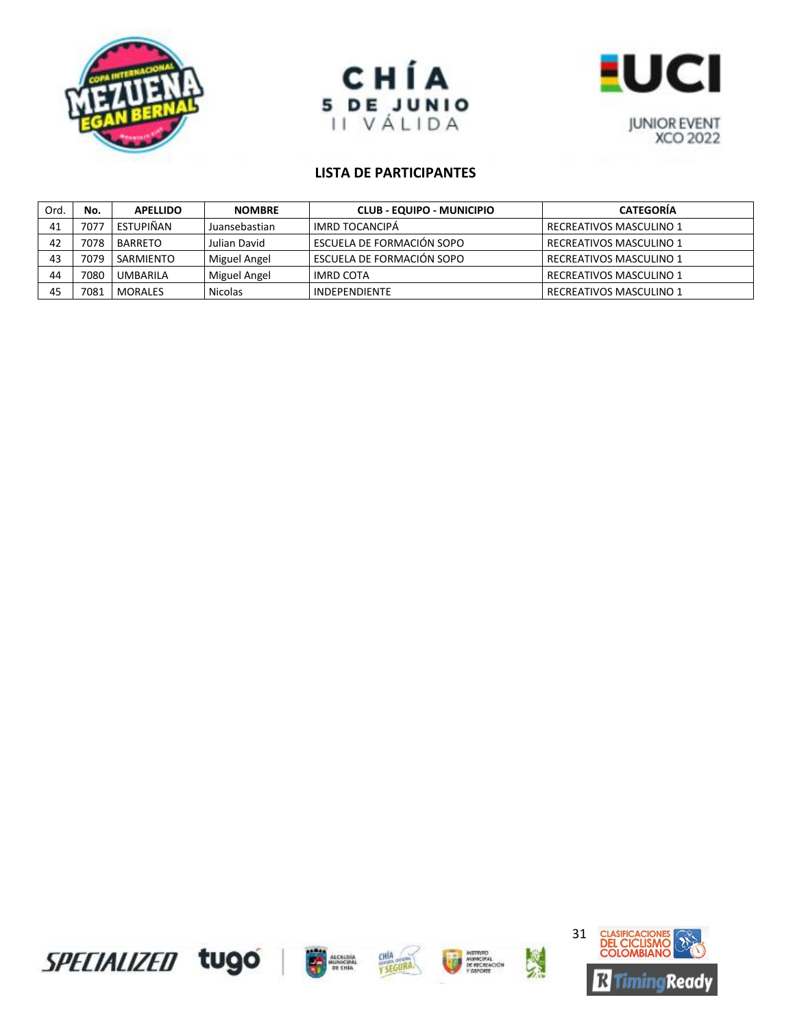





| Ord. | No.  | <b>APELLIDO</b> | <b>NOMBRE</b>  | <b>CLUB - EQUIPO - MUNICIPIO</b> | <b>CATEGORIA</b>        |
|------|------|-----------------|----------------|----------------------------------|-------------------------|
| 41   | 7077 | ESTUPIÑAN       | Juansebastian  | IMRD TOCANCIPÀ                   | RECREATIVOS MASCULINO 1 |
| 42   | 7078 | BARRETO         | Julian David   | l ESCUELA DE FORMACIÓN SOPO      | RECREATIVOS MASCULINO 1 |
| 43   | 7079 | SARMIENTO       | Miguel Angel   | l ESCUELA DE FORMACIÓN SOPO      | RECREATIVOS MASCULINO 1 |
| 44   | 7080 | <b>UMBARILA</b> | Miguel Angel   | <b>IMRD COTA</b>                 | RECREATIVOS MASCULINO 1 |
| 45   | 7081 | MORALES         | <b>Nicolas</b> | INDEPENDIENTE                    | RECREATIVOS MASCULINO 1 |

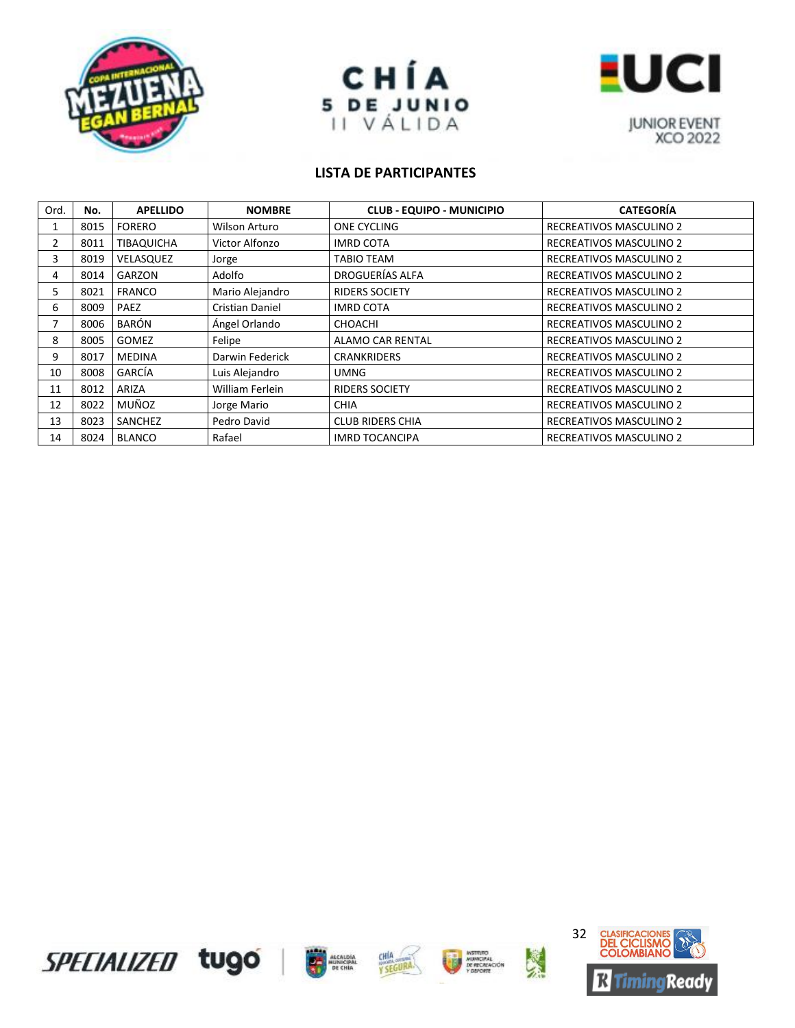





| Ord.           | No.  | <b>APELLIDO</b>   | <b>NOMBRE</b>   | <b>CLUB - EQUIPO - MUNICIPIO</b> | <b>CATEGORÍA</b>               |
|----------------|------|-------------------|-----------------|----------------------------------|--------------------------------|
| 1              | 8015 | <b>FORERO</b>     | Wilson Arturo   | <b>ONE CYCLING</b>               | <b>RECREATIVOS MASCULINO 2</b> |
| $\overline{2}$ | 8011 | <b>TIBAQUICHA</b> | Victor Alfonzo  | <b>IMRD COTA</b>                 | <b>RECREATIVOS MASCULINO 2</b> |
| 3              | 8019 | VELASQUEZ         | Jorge           | TABIO TEAM                       | <b>RECREATIVOS MASCULINO 2</b> |
| 4              | 8014 | GARZON            | Adolfo          | DROGUERÍAS ALFA                  | RECREATIVOS MASCULINO 2        |
| 5.             | 8021 | <b>FRANCO</b>     | Mario Alejandro | <b>RIDERS SOCIETY</b>            | RECREATIVOS MASCULINO 2        |
| 6              | 8009 | <b>PAEZ</b>       | Cristian Daniel | <b>IMRD COTA</b>                 | RECREATIVOS MASCULINO 2        |
|                | 8006 | BARÓN             | Ángel Orlando   | <b>CHOACHI</b>                   | RECREATIVOS MASCULINO 2        |
| 8              | 8005 | <b>GOMEZ</b>      | Felipe          | ALAMO CAR RENTAL                 | <b>RECREATIVOS MASCULINO 2</b> |
| 9              | 8017 | <b>MEDINA</b>     | Darwin Federick | <b>CRANKRIDERS</b>               | RECREATIVOS MASCULINO 2        |
| 10             | 8008 | GARCÍA            | Luis Alejandro  | UMNG                             | <b>RECREATIVOS MASCULINO 2</b> |
| 11             | 8012 | ARIZA             | William Ferlein | <b>RIDERS SOCIETY</b>            | <b>RECREATIVOS MASCULINO 2</b> |
| 12             | 8022 | MUÑOZ             | Jorge Mario     | <b>CHIA</b>                      | <b>RECREATIVOS MASCULINO 2</b> |
| 13             | 8023 | SANCHEZ           | Pedro David     | <b>CLUB RIDERS CHIA</b>          | <b>RECREATIVOS MASCULINO 2</b> |
| 14             | 8024 | <b>BLANCO</b>     | Rafael          | <b>IMRD TOCANCIPA</b>            | <b>RECREATIVOS MASCULINO 2</b> |